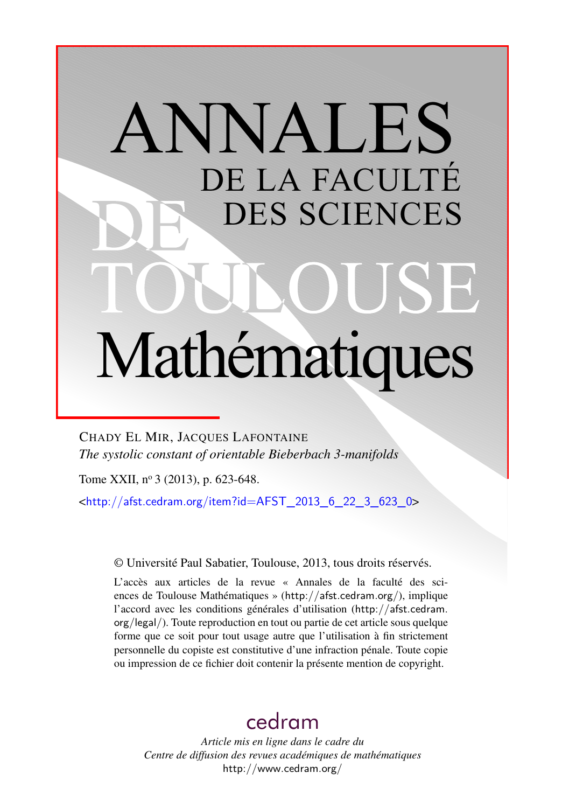# ANNALES DE LA FACULTÉ DES SCIENCES Mathématiques

CHADY EL MIR, JACQUES LAFONTAINE *The systolic constant of orientable Bieberbach 3-manifolds*

Tome XXII, nº 3 (2013), p. 623-648.

 $\text{chttp:}/\text{/afst.cedram.org/item?id=AFST}$  2013 6 22 3 623 0>

© Université Paul Sabatier, Toulouse, 2013, tous droits réservés.

L'accès aux articles de la revue « Annales de la faculté des sciences de Toulouse Mathématiques » (<http://afst.cedram.org/>), implique l'accord avec les conditions générales d'utilisation ([http://afst.cedram.](http://afst.cedram.org/legal/) [org/legal/](http://afst.cedram.org/legal/)). Toute reproduction en tout ou partie de cet article sous quelque forme que ce soit pour tout usage autre que l'utilisation à fin strictement personnelle du copiste est constitutive d'une infraction pénale. Toute copie ou impression de ce fichier doit contenir la présente mention de copyright.

# [cedram](http://www.cedram.org/)

*Article mis en ligne dans le cadre du Centre de diffusion des revues académiques de mathématiques* <http://www.cedram.org/>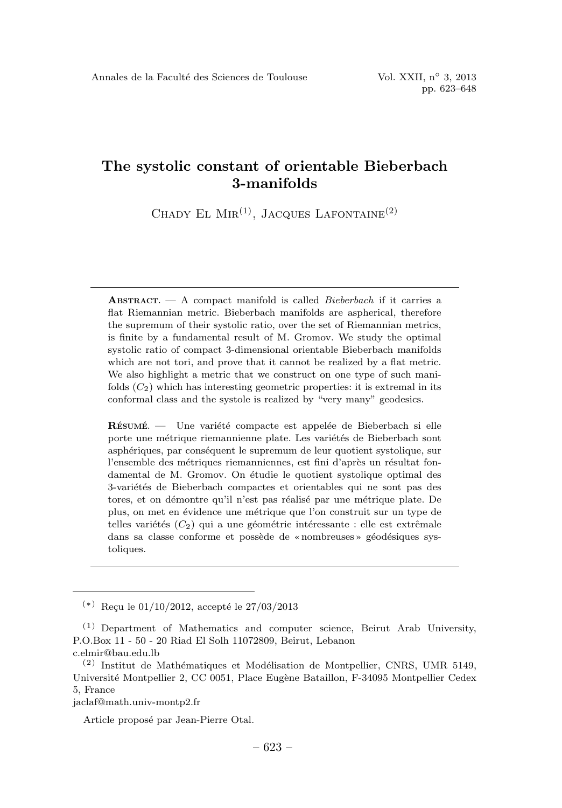CHADY EL  $\text{MIR}^{(1)}$ , JACQUES LAFONTAINE<sup>(2)</sup>

**ABSTRACT.**  $- A$  compact manifold is called *Bieberbach* if it carries a flat Riemannian metric. Bieberbach manifolds are aspherical, therefore the supremum of their systolic ratio, over the set of Riemannian metrics, is finite by a fundamental result of M. Gromov. We study the optimal systolic ratio of compact 3-dimensional orientable Bieberbach manifolds which are not tori, and prove that it cannot be realized by a flat metric. We also highlight a metric that we construct on one type of such manifolds  $(C_2)$  which has interesting geometric properties: it is extremal in its conformal class and the systole is realized by "very many" geodesics.

RÉSUMÉ. — Une variété compacte est appelée de Bieberbach si elle porte une métrique riemannienne plate. Les variétés de Bieberbach sont asphériques, par conséquent le supremum de leur quotient systolique, sur l'ensemble des métriques riemanniennes, est fini d'après un résultat fondamental de M. Gromov. On étudie le quotient systolique optimal des 3-variétés de Bieberbach compactes et orientables qui ne sont pas des tores, et on démontre qu'il n'est pas réalisé par une métrique plate. De plus, on met en ´evidence une m´etrique que l'on construit sur un type de telles variétés  $(C_2)$  qui a une géométrie intéressante : elle est extrêmale dans sa classe conforme et possède de « nombreuses » géodésiques systoliques.

jaclaf@math.univ-montp2.fr

Article proposé par Jean-Pierre Otal.

 $(*)$  Reçu le 01/10/2012, accepté le 27/03/2013

 $(1)$  Department of Mathematics and computer science, Beirut Arab University, P.O.Box 11 - 50 - 20 Riad El Solh 11072809, Beirut, Lebanon c.elmir@bau.edu.lb

 $(2)$  Institut de Mathématiques et Modélisation de Montpellier, CNRS, UMR 5149, Université Montpellier 2, CC 0051, Place Eugène Bataillon, F-34095 Montpellier Cedex 5, France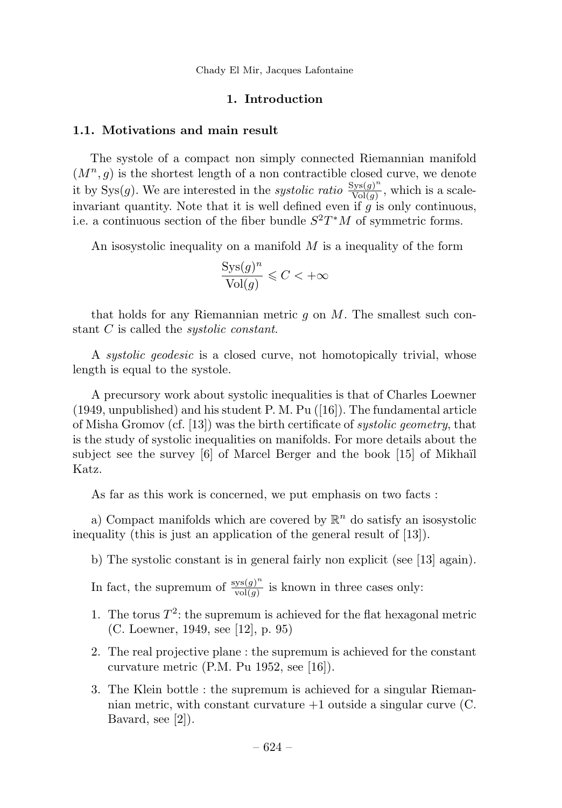# 1. Introduction

#### 1.1. Motivations and main result

The systole of a compact non simply connected Riemannian manifold  $(M^n, g)$  is the shortest length of a non contractible closed curve, we denote it by Sys(g). We are interested in the *systolic ratio*  $\frac{Sys(g)^n}{Vol(g)}$ , which is a scaleinvariant quantity. Note that it is well defined even if  $q$  is only continuous, i.e. a continuous section of the fiber bundle  $S^2T^*M$  of symmetric forms.

An isosystolic inequality on a manifold  $M$  is a inequality of the form

$$
\frac{\operatorname{Sys}(g)^n}{\operatorname{Vol}(g)} \leqslant C < +\infty
$$

that holds for any Riemannian metric  $g$  on  $M$ . The smallest such constant C is called the *systolic constant*.

A systolic geodesic is a closed curve, not homotopically trivial, whose length is equal to the systole.

A precursory work about systolic inequalities is that of Charles Loewner (1949, unpublished) and his student P. M. Pu ([16]). The fundamental article of Misha Gromov (cf. [13]) was the birth certificate of systolic geometry, that is the study of systolic inequalities on manifolds. For more details about the subject see the survey  $[6]$  of Marcel Berger and the book  $[15]$  of Mikhaïl Katz.

As far as this work is concerned, we put emphasis on two facts :

a) Compact manifolds which are covered by  $\mathbb{R}^n$  do satisfy an isosystolic inequality (this is just an application of the general result of [13]).

b) The systolic constant is in general fairly non explicit (see [13] again).

In fact, the supremum of  $\frac{\mathrm{sys}(g)^n}{\mathrm{vol}(g)}$  is known in three cases only:

- 1. The torus  $T^2$ : the supremum is achieved for the flat hexagonal metric (C. Loewner, 1949, see [12], p. 95)
- 2. The real projective plane : the supremum is achieved for the constant curvature metric (P.M. Pu 1952, see [16]).
- 3. The Klein bottle : the supremum is achieved for a singular Riemannian metric, with constant curvature  $+1$  outside a singular curve (C. Bavard, see [2]).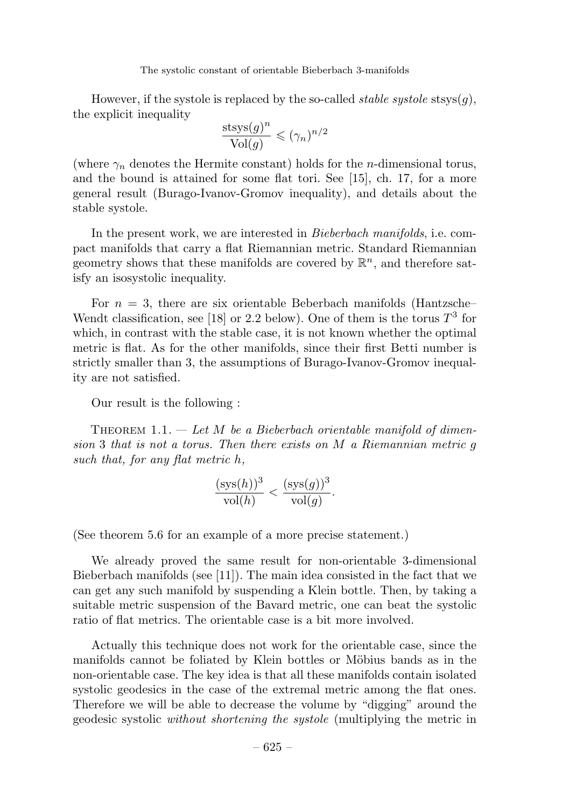However, if the systole is replaced by the so-called *stable systole* stsys $(q)$ , the explicit inequality

$$
\frac{\text{stsys}(g)^n}{\text{Vol}(g)} \leqslant (\gamma_n)^{n/2}
$$

(where  $\gamma_n$  denotes the Hermite constant) holds for the *n*-dimensional torus, and the bound is attained for some flat tori. See [15], ch. 17, for a more general result (Burago-Ivanov-Gromov inequality), and details about the stable systole.

In the present work, we are interested in Bieberbach manifolds, i.e. compact manifolds that carry a flat Riemannian metric. Standard Riemannian geometry shows that these manifolds are covered by  $\mathbb{R}^n$ , and therefore satisfy an isosystolic inequality.

For  $n = 3$ , there are six orientable Beberbach manifolds (Hantzsche– Wendt classification, see [18] or 2.2 below). One of them is the torus  $T^3$  for which, in contrast with the stable case, it is not known whether the optimal metric is flat. As for the other manifolds, since their first Betti number is strictly smaller than 3, the assumptions of Burago-Ivanov-Gromov inequality are not satisfied.

Our result is the following :

THEOREM  $1.1.$  — Let M be a Bieberbach orientable manifold of dimension 3 that is not a torus. Then there exists on M a Riemannian metric g such that, for any flat metric h,

$$
\frac{(\operatorname{sys}(h))^3}{\operatorname{vol}(h)} < \frac{(\operatorname{sys}(g))^3}{\operatorname{vol}(g)}.
$$

(See theorem 5.6 for an example of a more precise statement.)

We already proved the same result for non-orientable 3-dimensional Bieberbach manifolds (see [11]). The main idea consisted in the fact that we can get any such manifold by suspending a Klein bottle. Then, by taking a suitable metric suspension of the Bavard metric, one can beat the systolic ratio of flat metrics. The orientable case is a bit more involved.

Actually this technique does not work for the orientable case, since the manifolds cannot be foliated by Klein bottles or Möbius bands as in the non-orientable case. The key idea is that all these manifolds contain isolated systolic geodesics in the case of the extremal metric among the flat ones. Therefore we will be able to decrease the volume by "digging" around the geodesic systolic without shortening the systole (multiplying the metric in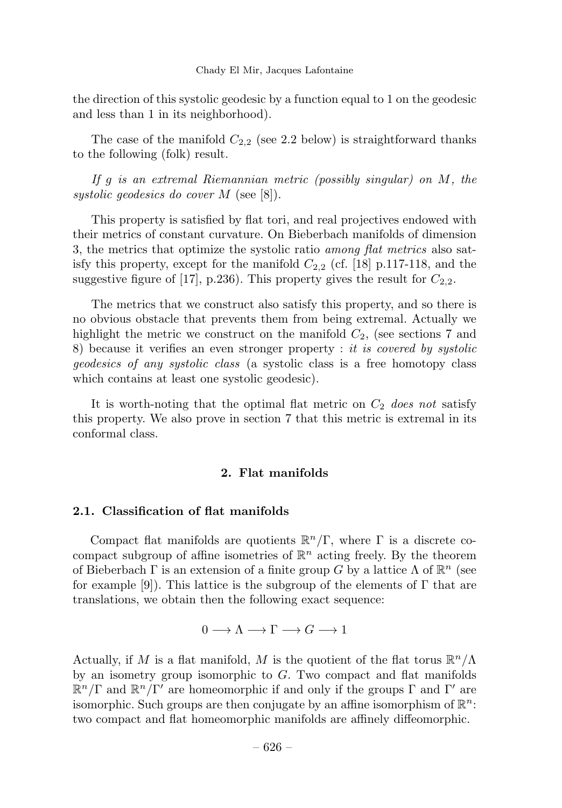the direction of this systolic geodesic by a function equal to 1 on the geodesic and less than 1 in its neighborhood).

The case of the manifold  $C_{2,2}$  (see 2.2 below) is straightforward thanks to the following (folk) result.

If g is an extremal Riemannian metric (possibly singular) on M, the systolic geodesics do cover M (see [8]).

This property is satisfied by flat tori, and real projectives endowed with their metrics of constant curvature. On Bieberbach manifolds of dimension 3, the metrics that optimize the systolic ratio *among flat metrics* also satisfy this property, except for the manifold  $C_{2,2}$  (cf. [18] p.117-118, and the suggestive figure of [17], p.236). This property gives the result for  $C_{2,2}$ .

The metrics that we construct also satisfy this property, and so there is no obvious obstacle that prevents them from being extremal. Actually we highlight the metric we construct on the manifold  $C_2$ , (see sections 7 and 8) because it verifies an even stronger property : it is covered by systolic geodesics of any systolic class (a systolic class is a free homotopy class which contains at least one systolic geodesic).

It is worth-noting that the optimal flat metric on  $C_2$  does not satisfy this property. We also prove in section 7 that this metric is extremal in its conformal class.

#### 2. Flat manifolds

### 2.1. Classification of flat manifolds

Compact flat manifolds are quotients  $\mathbb{R}^n/\Gamma$ , where  $\Gamma$  is a discrete cocompact subgroup of affine isometries of  $\mathbb{R}^n$  acting freely. By the theorem of Bieberbach Γ is an extension of a finite group G by a lattice  $\Lambda$  of  $\mathbb{R}^n$  (see for example [9]). This lattice is the subgroup of the elements of  $\Gamma$  that are translations, we obtain then the following exact sequence:

$$
0 \longrightarrow \Lambda \longrightarrow \Gamma \longrightarrow G \longrightarrow 1
$$

Actually, if M is a flat manifold, M is the quotient of the flat torus  $\mathbb{R}^n/\Lambda$ by an isometry group isomorphic to  $G$ . Two compact and flat manifolds  $\mathbb{R}^n/\Gamma$  and  $\mathbb{R}^n/\Gamma'$  are homeomorphic if and only if the groups  $\Gamma$  and  $\Gamma'$  are isomorphic. Such groups are then conjugate by an affine isomorphism of  $\mathbb{R}^n$ : two compact and flat homeomorphic manifolds are affinely diffeomorphic.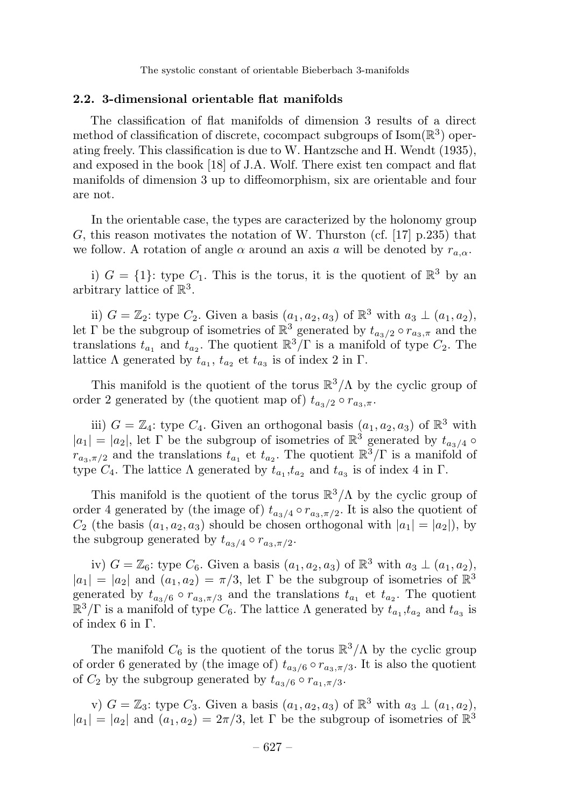#### 2.2. 3-dimensional orientable flat manifolds

The classification of flat manifolds of dimension 3 results of a direct method of classification of discrete, cocompact subgroups of  $\text{Isom}(\mathbb{R}^3)$  operating freely. This classification is due to W. Hantzsche and H. Wendt (1935), and exposed in the book [18] of J.A. Wolf. There exist ten compact and flat manifolds of dimension 3 up to diffeomorphism, six are orientable and four are not.

In the orientable case, the types are caracterized by the holonomy group G, this reason motivates the notation of W. Thurston (cf. [17]  $p.235$ ) that we follow. A rotation of angle  $\alpha$  around an axis a will be denoted by  $r_{a,\alpha}$ .

i)  $G = \{1\}$ : type  $C_1$ . This is the torus, it is the quotient of  $\mathbb{R}^3$  by an arbitrary lattice of  $\mathbb{R}^3$ .

ii)  $G = \mathbb{Z}_2$ : type  $C_2$ . Given a basis  $(a_1, a_2, a_3)$  of  $\mathbb{R}^3$  with  $a_3 \perp (a_1, a_2)$ , let Γ be the subgroup of isometries of  $\mathbb{R}^3$  generated by  $t_{a_3/2} \circ r_{a_3,\pi}$  and the translations  $t_{a_1}$  and  $t_{a_2}$ . The quotient  $\mathbb{R}^3/\Gamma$  is a manifold of type  $C_2$ . The lattice Λ generated by  $t_{a_1}$ ,  $t_{a_2}$  et  $t_{a_3}$  is of index 2 in Γ.

This manifold is the quotient of the torus  $\mathbb{R}^3/\Lambda$  by the cyclic group of order 2 generated by (the quotient map of)  $t_{a_2/2} \circ r_{a_3,\pi}$ .

iii)  $G = \mathbb{Z}_4$ : type  $C_4$ . Given an orthogonal basis  $(a_1, a_2, a_3)$  of  $\mathbb{R}^3$  with  $|a_1| = |a_2|$ , let  $\Gamma$  be the subgroup of isometries of  $\mathbb{R}^3$  generated by  $t_{a_3/4}$   $\circ$  $r_{a_3,\pi/2}$  and the translations  $t_{a_1}$  et  $t_{a_2}$ . The quotient  $\mathbb{R}^3/\Gamma$  is a manifold of type  $C_4$ . The lattice  $\Lambda$  generated by  $t_{a_1}, t_{a_2}$  and  $t_{a_3}$  is of index 4 in  $\Gamma$ .

This manifold is the quotient of the torus  $\mathbb{R}^3/\Lambda$  by the cyclic group of order 4 generated by (the image of)  $t_{a_3/4} \circ r_{a_3,\pi/2}$ . It is also the quotient of  $C_2$  (the basis  $(a_1, a_2, a_3)$  should be chosen orthogonal with  $|a_1| = |a_2|$ ), by the subgroup generated by  $t_{a_3/4} \circ r_{a_3,\pi/2}$ .

iv)  $G = \mathbb{Z}_6$ : type  $C_6$ . Given a basis  $(a_1, a_2, a_3)$  of  $\mathbb{R}^3$  with  $a_3 \perp (a_1, a_2)$ ,  $|a_1| = |a_2|$  and  $(a_1, a_2) = \pi/3$ , let  $\Gamma$  be the subgroup of isometries of  $\mathbb{R}^3$ generated by  $t_{a_3/6} \circ r_{a_3,\pi/3}$  and the translations  $t_{a_1}$  et  $t_{a_2}$ . The quotient  $\mathbb{R}^3/\Gamma$  is a manifold of type  $C_6$ . The lattice  $\Lambda$  generated by  $t_{a_1}, t_{a_2}$  and  $t_{a_3}$  is of index 6 in Γ.

The manifold  $C_6$  is the quotient of the torus  $\mathbb{R}^3/\Lambda$  by the cyclic group of order 6 generated by (the image of)  $t_{a_3/6} \circ r_{a_3,\pi/3}$ . It is also the quotient of  $C_2$  by the subgroup generated by  $t_{a_3/6} \circ r_{a_1,\pi/3}$ .

v)  $G = \mathbb{Z}_3$ : type  $C_3$ . Given a basis  $(a_1, a_2, a_3)$  of  $\mathbb{R}^3$  with  $a_3 \perp (a_1, a_2)$ ,  $|a_1| = |a_2|$  and  $(a_1, a_2) = 2\pi/3$ , let Γ be the subgroup of isometries of  $\mathbb{R}^3$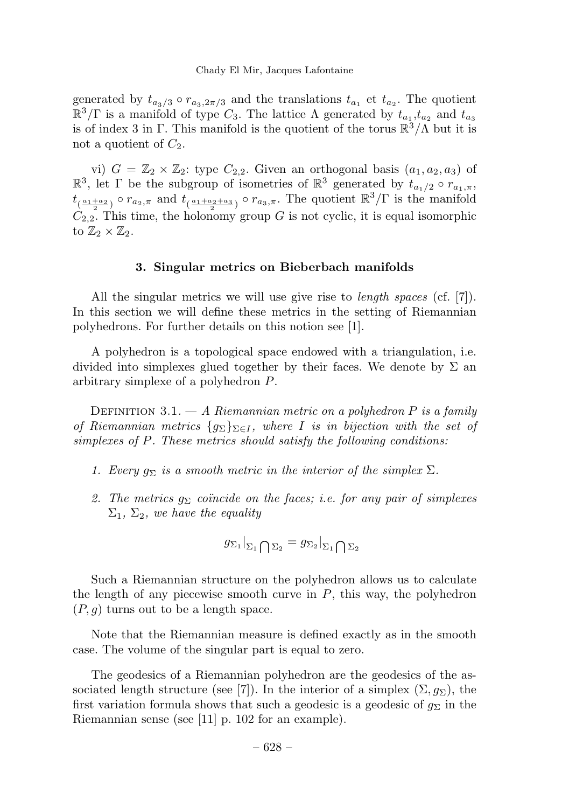generated by  $t_{a_3/3} \circ r_{a_3,2\pi/3}$  and the translations  $t_{a_1}$  et  $t_{a_2}$ . The quotient  $\mathbb{R}^3/\Gamma$  is a manifold of type  $C_3$ . The lattice  $\Lambda$  generated by  $t_{a_1}, t_{a_2}$  and  $t_{a_3}$ is of index 3 in Γ. This manifold is the quotient of the torus  $\mathbb{R}^3/\Lambda$  but it is not a quotient of  $C_2$ .

vi)  $G = \mathbb{Z}_2 \times \mathbb{Z}_2$ : type  $C_{2,2}$ . Given an orthogonal basis  $(a_1, a_2, a_3)$  of  $\mathbb{R}^3$ , let  $\Gamma$  be the subgroup of isometries of  $\mathbb{R}^3$  generated by  $t_{a_1/2} \circ r_{a_1,\pi}$ ,  $t_{(\frac{a_1+a_2}{2})} \circ r_{a_2,\pi}$  and  $t_{(\frac{a_1+a_2+a_3}{2})} \circ r_{a_3,\pi}$ . The quotient  $\mathbb{R}^3/\Gamma$  is the manifold  $C_{2,2}$ . This time, the holonomy group G is not cyclic, it is equal isomorphic to  $\mathbb{Z}_2 \times \mathbb{Z}_2$ .

#### 3. Singular metrics on Bieberbach manifolds

All the singular metrics we will use give rise to *length spaces* (cf. [7]). In this section we will define these metrics in the setting of Riemannian polyhedrons. For further details on this notion see [1].

A polyhedron is a topological space endowed with a triangulation, i.e. divided into simplexes glued together by their faces. We denote by  $\Sigma$  and arbitrary simplexe of a polyhedron P.

DEFINITION 3.1.  $- A$  Riemannian metric on a polyhedron P is a family of Riemannian metrics  $\{g_{\Sigma}\}_{\Sigma \in I}$ , where I is in bijection with the set of simplexes of P. These metrics should satisfy the following conditions:

- 1. Every  $g_{\Sigma}$  is a smooth metric in the interior of the simplex  $\Sigma$ .
- 2. The metrics  $g_{\Sigma}$  coincide on the faces; i.e. for any pair of simplexes  $\Sigma_1$ ,  $\Sigma_2$ , we have the equality

$$
g_{\Sigma_1}|_{\Sigma_1 \bigcap \Sigma_2} = g_{\Sigma_2}|_{\Sigma_1 \bigcap \Sigma_2}
$$

Such a Riemannian structure on the polyhedron allows us to calculate the length of any piecewise smooth curve in  $P$ , this way, the polyhedron  $(P, q)$  turns out to be a length space.

Note that the Riemannian measure is defined exactly as in the smooth case. The volume of the singular part is equal to zero.

The geodesics of a Riemannian polyhedron are the geodesics of the associated length structure (see [7]). In the interior of a simplex  $(\Sigma, g_{\Sigma})$ , the first variation formula shows that such a geodesic is a geodesic of  $g_{\Sigma}$  in the Riemannian sense (see [11] p. 102 for an example).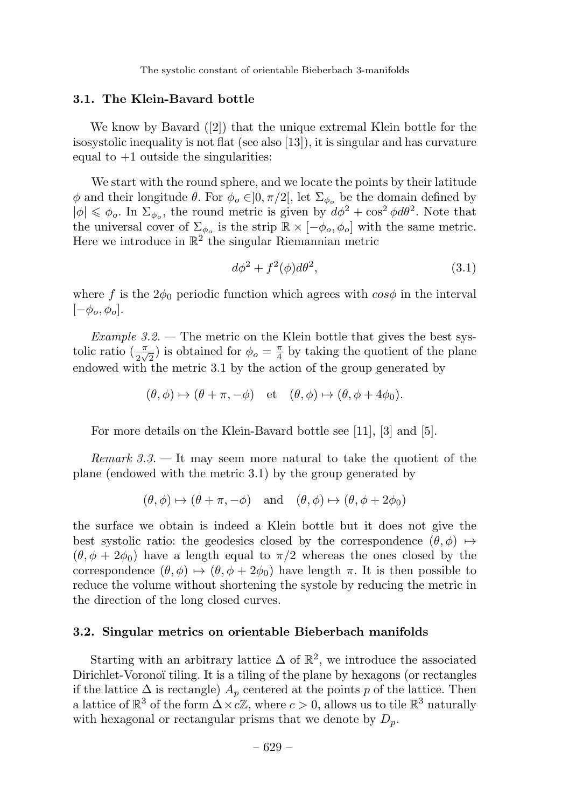#### 3.1. The Klein-Bavard bottle

We know by Bavard ([2]) that the unique extremal Klein bottle for the isosystolic inequality is not flat (see also [13]), it is singular and has curvature equal to  $+1$  outside the singularities:

We start with the round sphere, and we locate the points by their latitude φ and their longitude θ. For  $\phi_o \in ]0, \pi/2[$ , let  $\Sigma_{\phi_o}$  be the domain defined by  $|\phi| \leq \phi_o$ . In  $\Sigma_{\phi_o}$ , the round metric is given by  $d\phi^2 + \cos^2 \phi d\theta^2$ . Note that the universal cover of  $\Sigma_{\phi}$  is the strip  $\mathbb{R} \times [-\phi_o, \phi_o]$  with the same metric. Here we introduce in  $\mathbb{R}^2$  the singular Riemannian metric

$$
d\phi^2 + f^2(\phi)d\theta^2,\tag{3.1}
$$

where f is the  $2\phi_0$  periodic function which agrees with  $\cos\phi$  in the interval  $[-\phi_o, \phi_o].$ 

Example  $3.2$ . — The metric on the Klein bottle that gives the best systolic ratio  $\left(\frac{\pi}{2\sqrt{2}}\right)$  is obtained for  $\phi_o = \frac{\pi}{4}$  by taking the quotient of the plane endowed with the metric 3.1 by the action of the group generated by

$$
(\theta, \phi) \mapsto (\theta + \pi, -\phi) \quad \text{et} \quad (\theta, \phi) \mapsto (\theta, \phi + 4\phi_0).
$$

For more details on the Klein-Bavard bottle see [11], [3] and [5].

Remark  $3.3.$  — It may seem more natural to take the quotient of the plane (endowed with the metric 3.1) by the group generated by

$$
(\theta, \phi) \mapsto (\theta + \pi, -\phi)
$$
 and  $(\theta, \phi) \mapsto (\theta, \phi + 2\phi_0)$ 

the surface we obtain is indeed a Klein bottle but it does not give the best systolic ratio: the geodesics closed by the correspondence  $(\theta, \phi) \mapsto$  $(\theta, \phi + 2\phi_0)$  have a length equal to  $\pi/2$  whereas the ones closed by the correspondence  $(\theta, \phi) \mapsto (\theta, \phi + 2\phi_0)$  have length  $\pi$ . It is then possible to reduce the volume without shortening the systole by reducing the metric in the direction of the long closed curves.

#### 3.2. Singular metrics on orientable Bieberbach manifolds

Starting with an arbitrary lattice  $\Delta$  of  $\mathbb{R}^2$ , we introduce the associated Dirichlet-Voronoï tiling. It is a tiling of the plane by hexagons (or rectangles if the lattice  $\Delta$  is rectangle)  $A_p$  centered at the points p of the lattice. Then a lattice of  $\mathbb{R}^3$  of the form  $\Delta \times c\mathbb{Z}$ , where  $c > 0$ , allows us to tile  $\mathbb{R}^3$  naturally with hexagonal or rectangular prisms that we denote by  $D_p$ .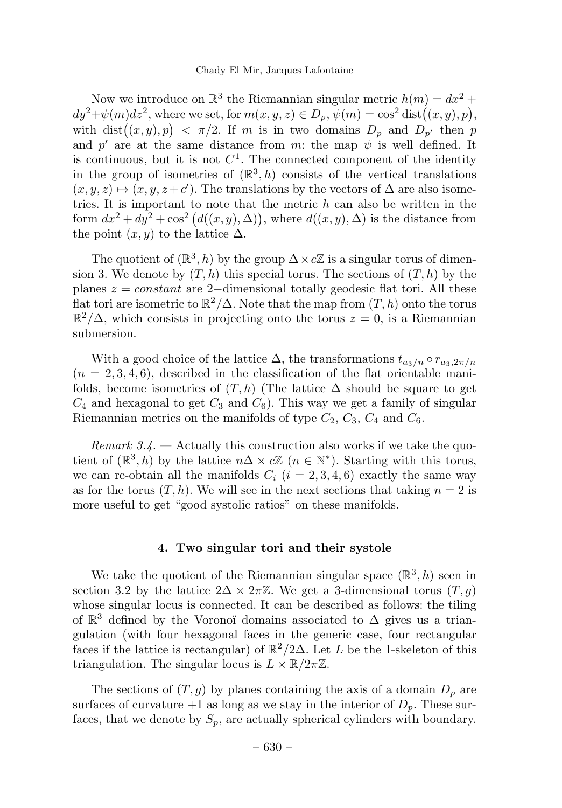Now we introduce on  $\mathbb{R}^3$  the Riemannian singular metric  $h(m) = dx^2 +$  $dy^2 + \psi(m)dz^2$ , where we set, for  $m(x, y, z) \in D_p$ ,  $\psi(m) = \cos^2 \text{dist}((x, y), p)$ , with dist $((x, y), p) < \pi/2$ . If m is in two domains  $D_p$  and  $D_{p'}$  then p and  $p'$  are at the same distance from m: the map  $\psi$  is well defined. It is continuous, but it is not  $C^1$ . The connected component of the identity in the group of isometries of  $(\mathbb{R}^3, h)$  consists of the vertical translations  $(x, y, z) \mapsto (x, y, z + c')$ . The translations by the vectors of  $\Delta$  are also isometries. It is important to note that the metric  $h$  can also be written in the form  $dx^2 + dy^2 + \cos^2(d((x, y), \Delta))$ , where  $d((x, y), \Delta)$  is the distance from the point  $(x, y)$  to the lattice  $\Delta$ .

The quotient of  $(\mathbb{R}^3, h)$  by the group  $\Delta \times c\mathbb{Z}$  is a singular torus of dimension 3. We denote by  $(T, h)$  this special torus. The sections of  $(T, h)$  by the planes  $z = constant$  are 2-dimensional totally geodesic flat tori. All these flat tori are isometric to  $\mathbb{R}^2/\Delta$ . Note that the map from  $(T,h)$  onto the torus  $\mathbb{R}^2/\Delta$ , which consists in projecting onto the torus  $z=0$ , is a Riemannian submersion.

With a good choice of the lattice  $\Delta$ , the transformations  $t_{a_3/n} \circ r_{a_3,2\pi/n}$  $(n = 2, 3, 4, 6)$ , described in the classification of the flat orientable manifolds, become isometries of  $(T,h)$  (The lattice  $\Delta$  should be square to get  $C_4$  and hexagonal to get  $C_3$  and  $C_6$ ). This way we get a family of singular Riemannian metrics on the manifolds of type  $C_2$ ,  $C_3$ ,  $C_4$  and  $C_6$ .

Remark  $3.4.$  — Actually this construction also works if we take the quotient of  $(\mathbb{R}^3, h)$  by the lattice  $n\Delta \times c\mathbb{Z}$   $(n \in \mathbb{N}^*)$ . Starting with this torus, we can re-obtain all the manifolds  $C_i$   $(i = 2, 3, 4, 6)$  exactly the same way as for the torus  $(T, h)$ . We will see in the next sections that taking  $n = 2$  is more useful to get "good systolic ratios" on these manifolds.

#### 4. Two singular tori and their systole

We take the quotient of the Riemannian singular space  $(\mathbb{R}^3, h)$  seen in section 3.2 by the lattice  $2\Delta \times 2\pi\mathbb{Z}$ . We get a 3-dimensional torus  $(T, g)$ whose singular locus is connected. It can be described as follows: the tiling of  $\mathbb{R}^3$  defined by the Voronoï domains associated to  $\Delta$  gives us a triangulation (with four hexagonal faces in the generic case, four rectangular faces if the lattice is rectangular) of  $\mathbb{R}^2/2\Delta$ . Let L be the 1-skeleton of this triangulation. The singular locus is  $L \times \mathbb{R}/2\pi\mathbb{Z}$ .

The sections of  $(T, g)$  by planes containing the axis of a domain  $D_p$  are surfaces of curvature  $+1$  as long as we stay in the interior of  $D_p$ . These surfaces, that we denote by  $S_p$ , are actually spherical cylinders with boundary.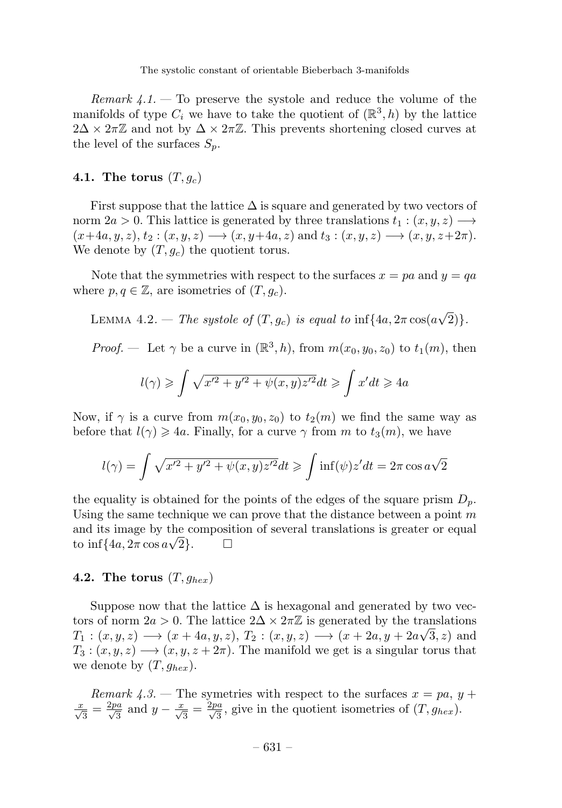Remark  $4.1$ . To preserve the systole and reduce the volume of the manifolds of type  $C_i$  we have to take the quotient of  $(\mathbb{R}^3, h)$  by the lattice  $2\Delta \times 2\pi\mathbb{Z}$  and not by  $\Delta \times 2\pi\mathbb{Z}$ . This prevents shortening closed curves at the level of the surfaces  $S_n$ .

#### 4.1. The torus  $(T, g_c)$

First suppose that the lattice  $\Delta$  is square and generated by two vectors of norm  $2a > 0$ . This lattice is generated by three translations  $t_1 : (x, y, z) \longrightarrow$  $(x+4a, y, z), t_2 : (x, y, z) \longrightarrow (x, y+4a, z) \text{ and } t_3 : (x, y, z) \longrightarrow (x, y, z+2\pi).$ We denote by  $(T, g_c)$  the quotient torus.

Note that the symmetries with respect to the surfaces  $x = pa$  and  $y = qa$ where  $p, q \in \mathbb{Z}$ , are isometries of  $(T, g_c)$ .

LEMMA 4.2. – The systole of  $(T, g_c)$  is equal to  $\inf\{4a, 2\pi \cos(a\sqrt{2})\}.$ 

*Proof.* — Let  $\gamma$  be a curve in  $(\mathbb{R}^3, h)$ , from  $m(x_0, y_0, z_0)$  to  $t_1(m)$ , then

$$
l(\gamma) \geqslant \int \sqrt{x'^2 + y'^2 + \psi(x, y)z'^2} dt \geqslant \int x' dt \geqslant 4a
$$

Now, if  $\gamma$  is a curve from  $m(x_0, y_0, z_0)$  to  $t_2(m)$  we find the same way as before that  $l(\gamma) \geqslant 4a$ . Finally, for a curve  $\gamma$  from m to  $t_3(m)$ , we have

$$
l(\gamma) = \int \sqrt{x'^2 + y'^2 + \psi(x, y)z'^2} dt \ge \int \inf(\psi) z' dt = 2\pi \cos \alpha \sqrt{2}
$$

the equality is obtained for the points of the edges of the square prism  $D_p$ . Using the same technique we can prove that the distance between a point  $m$ and its image by the composition of several translations is greater or equal to inf{ $4a$ ,  $2\pi \cos a\sqrt{2}$ }.  $\square$ 

# 4.2. The torus  $(T, g_{hex})$

Suppose now that the lattice  $\Delta$  is hexagonal and generated by two vectors of norm  $2a > 0$ . The lattice  $2\Delta \times 2\pi\mathbb{Z}$  is generated by the translations  $T_1: (x, y, z) \longrightarrow (x + 4a, y, z), T_2: (x, y, z) \longrightarrow (x + 2a, y + 2a\sqrt{3}, z)$  and  $T_3: (x, y, z) \longrightarrow (x, y, z + 2\pi)$ . The manifold we get is a singular torus that we denote by  $(T, g_{hex})$ .

Remark 4.3. – The symetries with respect to the surfaces  $x = pa$ ,  $y +$  $\frac{x}{\sqrt{3}} = \frac{2pa}{\sqrt{3}}$  and  $y - \frac{x}{\sqrt{3}} = \frac{2pa}{\sqrt{3}}$ , give in the quotient isometries of  $(T, g_{hex})$ .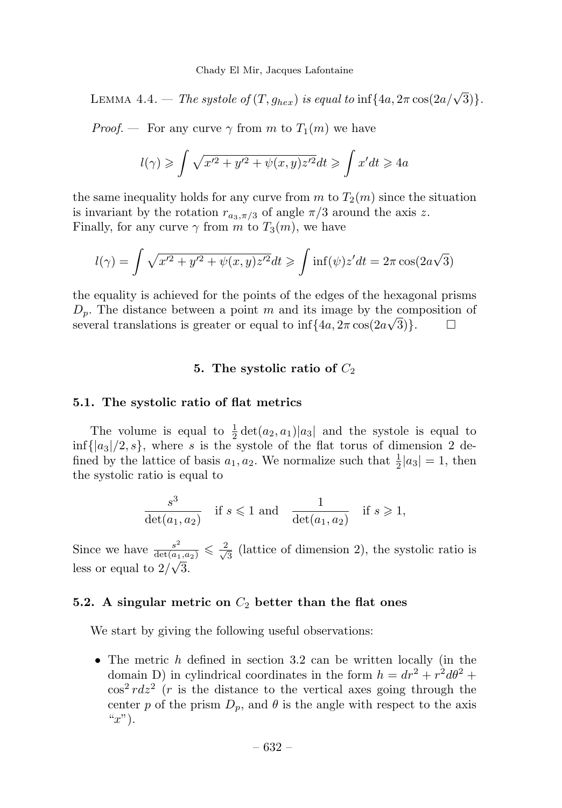LEMMA 4.4. — The systole of  $(T, g_{hex})$  is equal to inf $\{4a, 2\pi \cos(2a/\sqrt{3})\}.$ 

*Proof.* — For any curve  $\gamma$  from m to  $T_1(m)$  we have

$$
l(\gamma) \geqslant \int \sqrt{x'^2 + y'^2 + \psi(x, y)z'^2} dt \geqslant \int x' dt \geqslant 4a
$$

the same inequality holds for any curve from  $m$  to  $T_2(m)$  since the situation is invariant by the rotation  $r_{a_3,\pi/3}$  of angle  $\pi/3$  around the axis z. Finally, for any curve  $\gamma$  from m to  $T_3(m)$ , we have

$$
l(\gamma) = \int \sqrt{x'^2 + y'^2 + \psi(x, y)z'^2} dt \ge \int \inf(\psi) z' dt = 2\pi \cos(2\alpha\sqrt{3})
$$

the equality is achieved for the points of the edges of the hexagonal prisms  $D_p$ . The distance between a point m and its image by the composition of  $\mathbb{E}_{p}$ . The distance second a point in dia 16 image by the composites several translations is greater or equal to inf $\{4a, 2\pi \cos(2a\sqrt{3})\}$ .

#### 5. The systolic ratio of  $C_2$

#### 5.1. The systolic ratio of flat metrics

The volume is equal to  $\frac{1}{2} \det(a_2, a_1)|a_3|$  and the systole is equal to  $\inf\{|a_3|/2, s\}$ , where s is the systole of the flat torus of dimension 2 defined by the lattice of basis  $a_1, a_2$ . We normalize such that  $\frac{1}{2}|a_3| = 1$ , then the systolic ratio is equal to

$$
\frac{s^3}{\det(a_1, a_2)} \quad \text{if } s \leqslant 1 \text{ and } \frac{1}{\det(a_1, a_2)} \quad \text{if } s \geqslant 1,
$$

Since we have  $\frac{s^2}{\det(a_1,a_2)} \leqslant \frac{2}{\sqrt{3}}$  (lattice of dimension 2), the systolic ratio is less or equal to  $2/\sqrt{3}$ .

#### 5.2. A singular metric on  $C_2$  better than the flat ones

We start by giving the following useful observations:

• The metric  $h$  defined in section 3.2 can be written locally (in the domain D) in cylindrical coordinates in the form  $h = dr^2 + r^2 d\theta^2 +$  $\cos^2 r dz^2$  (*r* is the distance to the vertical axes going through the center p of the prism  $D_p$ , and  $\theta$  is the angle with respect to the axis " $x$ ").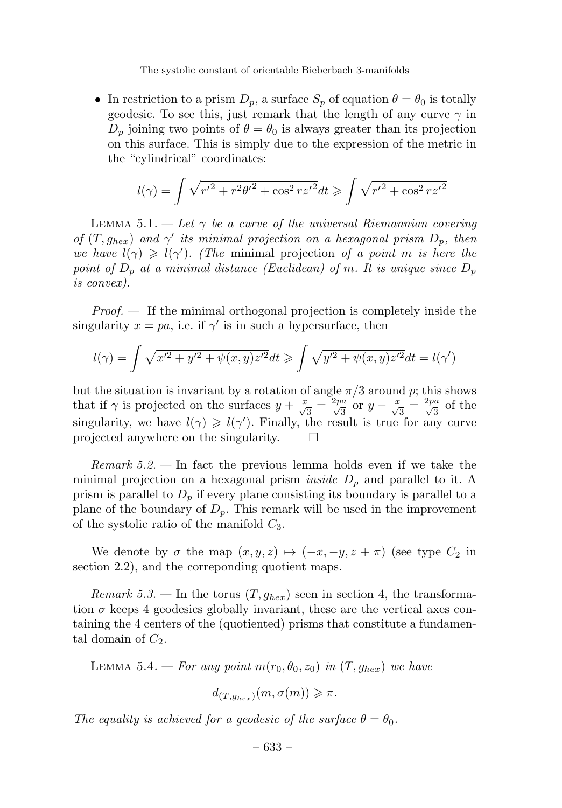• In restriction to a prism  $D_p$ , a surface  $S_p$  of equation  $\theta = \theta_0$  is totally geodesic. To see this, just remark that the length of any curve  $\gamma$  in  $D_n$  joining two points of  $\theta = \theta_0$  is always greater than its projection on this surface. This is simply due to the expression of the metric in the "cylindrical" coordinates:

$$
l(\gamma) = \int \sqrt{{r'}^2 + r^2 {\theta'}^2 + \cos^2 rz'^2} dt \geqslant \int \sqrt{{r'}^2 + \cos^2 rz'^2}
$$

LEMMA 5.1. — Let  $\gamma$  be a curve of the universal Riemannian covering of  $(T, g_{hex})$  and  $\gamma'$  its minimal projection on a hexagonal prism  $D_p$ , then we have  $l(\gamma) \geq l(\gamma')$ . (The minimal projection of a point m is here the point of  $D_p$  at a minimal distance (Euclidean) of m. It is unique since  $D_p$ is convex).

*Proof.*  $\longrightarrow$  If the minimal orthogonal projection is completely inside the singularity  $x = pa$ , i.e. if  $\gamma'$  is in such a hypersurface, then

$$
l(\gamma) = \int \sqrt{x'^2 + y'^2 + \psi(x, y)z'^2} dt \ge \int \sqrt{y'^2 + \psi(x, y)z'^2} dt = l(\gamma')
$$

but the situation is invariant by a rotation of angle  $\pi/3$  around p; this shows that if  $\gamma$  is projected on the surfaces  $y + \frac{x}{\sqrt{3}} = \frac{2pa}{\sqrt{3}}$  or  $y - \frac{x}{\sqrt{3}} = \frac{2pa}{\sqrt{3}}$  of the singularity, we have  $l(\gamma) \geq l(\gamma')$ . Finally, the result is true for any curve projected anywhere on the singularity.

*Remark 5.2.* — In fact the previous lemma holds even if we take the minimal projection on a hexagonal prism *inside*  $D_p$  and parallel to it. A prism is parallel to  $D_p$  if every plane consisting its boundary is parallel to a plane of the boundary of  $D_p$ . This remark will be used in the improvement of the systolic ratio of the manifold  $C_3$ .

We denote by  $\sigma$  the map  $(x, y, z) \mapsto (-x, -y, z + \pi)$  (see type  $C_2$  in section 2.2), and the correponding quotient maps.

Remark 5.3. – In the torus  $(T, g_{hex})$  seen in section 4, the transformation  $\sigma$  keeps 4 geodesics globally invariant, these are the vertical axes containing the 4 centers of the (quotiented) prisms that constitute a fundamental domain of  $C_2$ .

LEMMA 5.4. – For any point  $m(r_0, \theta_0, z_0)$  in  $(T, g_{hex})$  we have

$$
d_{(T,g_{hex})}(m, \sigma(m)) \geq \pi.
$$

The equality is achieved for a geodesic of the surface  $\theta = \theta_0$ .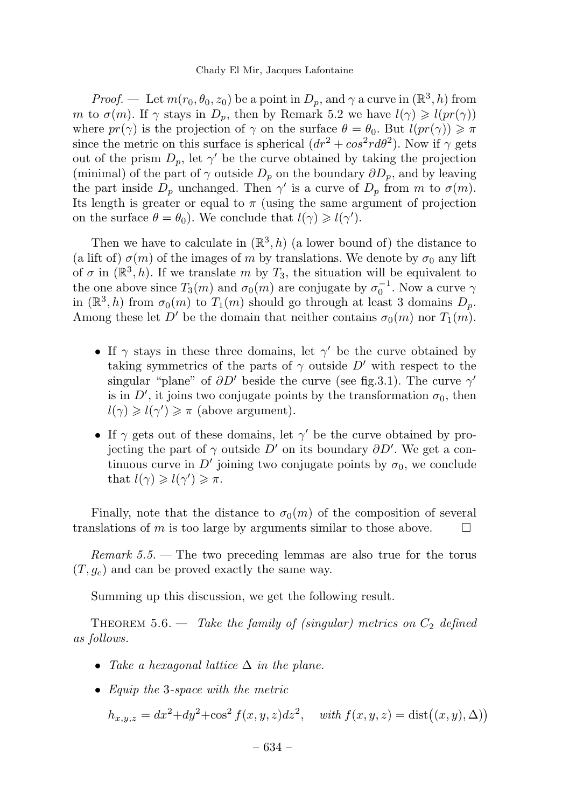*Proof.* — Let  $m(r_0, \theta_0, z_0)$  be a point in  $D_n$ , and  $\gamma$  a curve in  $(\mathbb{R}^3, h)$  from m to  $\sigma(m)$ . If  $\gamma$  stays in  $D_p$ , then by Remark 5.2 we have  $l(\gamma) \geqslant l(pr(\gamma))$ where  $pr(\gamma)$  is the projection of  $\gamma$  on the surface  $\theta = \theta_0$ . But  $l(pr(\gamma)) \geq \pi$ since the metric on this surface is spherical  $(dr^2 + cos^2 r d\theta^2)$ . Now if  $\gamma$  gets out of the prism  $D_p$ , let  $\gamma'$  be the curve obtained by taking the projection (minimal) of the part of  $\gamma$  outside  $D_p$  on the boundary  $\partial D_p$ , and by leaving the part inside  $D_p$  unchanged. Then  $\gamma'$  is a curve of  $D_p$  from m to  $\sigma(m)$ . Its length is greater or equal to  $\pi$  (using the same argument of projection on the surface  $\theta = \theta_0$ ). We conclude that  $l(\gamma) \geq l(\gamma')$ .

Then we have to calculate in  $(\mathbb{R}^3, h)$  (a lower bound of) the distance to (a lift of)  $\sigma(m)$  of the images of m by translations. We denote by  $\sigma_0$  any lift of  $\sigma$  in  $(\mathbb{R}^3, h)$ . If we translate m by  $T_3$ , the situation will be equivalent to the one above since  $T_3(m)$  and  $\sigma_0(m)$  are conjugate by  $\sigma_0^{-1}$ . Now a curve  $\gamma$ in  $(\mathbb{R}^3, h)$  from  $\sigma_0(m)$  to  $T_1(m)$  should go through at least 3 domains  $D_p$ . Among these let D' be the domain that neither contains  $\sigma_0(m)$  nor  $T_1(m)$ .

- If  $\gamma$  stays in these three domains, let  $\gamma'$  be the curve obtained by taking symmetrics of the parts of  $\gamma$  outside  $D'$  with respect to the singular "plane" of  $\partial D'$  beside the curve (see fig.3.1). The curve  $\gamma'$ is in  $D'$ , it joins two conjugate points by the transformation  $\sigma_0$ , then  $l(\gamma) \geqslant l(\gamma') \geqslant \pi$  (above argument).
- If  $\gamma$  gets out of these domains, let  $\gamma'$  be the curve obtained by projecting the part of  $\gamma$  outside  $D'$  on its boundary  $\partial D'$ . We get a continuous curve in D' joining two conjugate points by  $\sigma_0$ , we conclude that  $l(\gamma) \geqslant l(\gamma') \geqslant \pi$ .

Finally, note that the distance to  $\sigma_0(m)$  of the composition of several translations of m is too large by arguments similar to those above.  $\Box$ 

Remark 5.5. — The two preceding lemmas are also true for the torus  $(T, g_c)$  and can be proved exactly the same way.

Summing up this discussion, we get the following result.

THEOREM 5.6. — Take the family of (singular) metrics on  $C_2$  defined as follows.

- Take a hexagonal lattice  $\Delta$  in the plane.
- Equip the 3-space with the metric

 $h_{x,y,z} = dx^2 + dy^2 + \cos^2 f(x, y, z) dz^2$ , with  $f(x, y, z) = \text{dist}((x, y), \Delta)$ 

– 634 –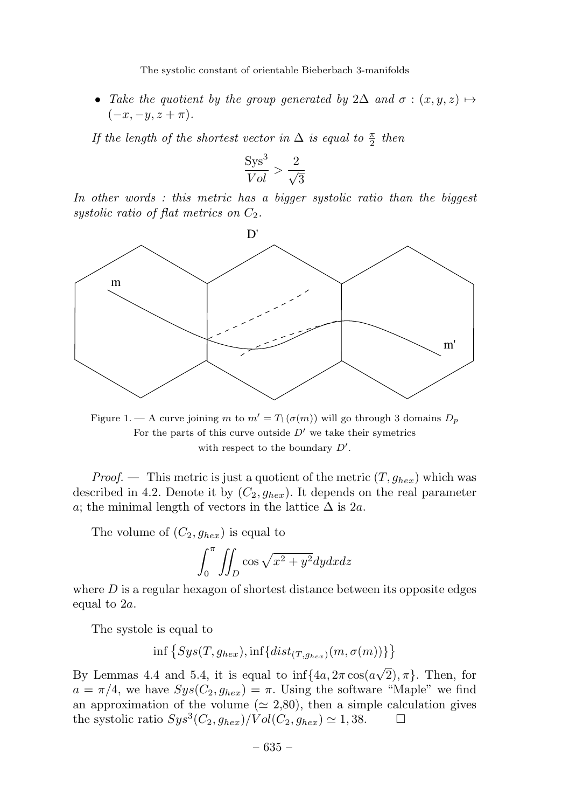• Take the quotient by the group generated by 2 $\Delta$  and  $\sigma$  :  $(x, y, z) \mapsto$  $(-x, -y, z + \pi).$ 

If the length of the shortest vector in  $\Delta$  is equal to  $\frac{\pi}{2}$  then

$$
\frac{\text{Sys}^3}{Vol} > \frac{2}{\sqrt{3}}
$$

In other words: this metric has a bigger systolic ratio than the biggest systolic ratio of flat metrics on  $C_2$ .



Figure 1. — A curve joining m to  $m' = T_1(\sigma(m))$  will go through 3 domains  $D_p$ For the parts of this curve outside  $D'$  we take their symetrics with respect to the boundary  $D'$ .

*Proof.* — This metric is just a quotient of the metric  $(T, g_{hex})$  which was described in 4.2. Denote it by  $(C_2, g_{hex})$ . It depends on the real parameter a; the minimal length of vectors in the lattice  $\Delta$  is 2a.

The volume of  $(C_2, g_{hex})$  is equal to

$$
\int_0^{\pi} \iint_D \cos \sqrt{x^2 + y^2} dy dx dz
$$

where  $D$  is a regular hexagon of shortest distance between its opposite edges equal to 2a.

The systole is equal to

$$
\inf\left\{Sys(T,g_{hex}), \inf\{dist_{(T,g_{hex})}(m,\sigma(m))\}\right\}
$$

By Lemmas 4.4 and 5.4, it is equal to  $\inf\{4a, 2\pi \cos(a\sqrt{2}), \pi\}$ . Then, for  $a = \pi/4$ , we have  $Sys(C_2, g_{hex}) = \pi$ . Using the software "Maple" we find an approximation of the volume ( $\simeq 2,80$ ), then a simple calculation gives the systolic ratio  $Sus^3(C_2, a_{her})/Vol(C_2, a_{her}) \simeq 1,38.$ the systolic ratio  $Sys^3(C_2, g_{hex})/Vol(C_2, g_{hex}) \simeq 1,38.$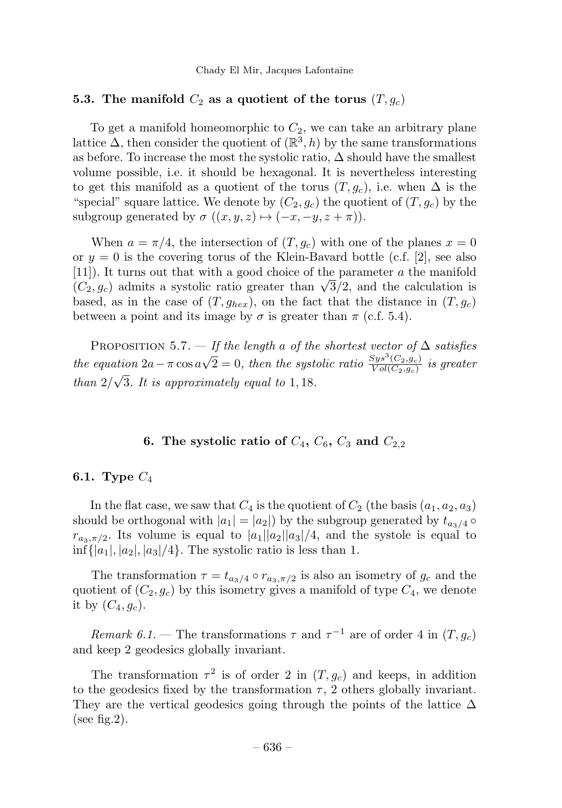#### 5.3. The manifold  $C_2$  as a quotient of the torus  $(T, g_c)$

To get a manifold homeomorphic to  $C_2$ , we can take an arbitrary plane lattice  $\Delta$ , then consider the quotient of  $(\mathbb{R}^3, h)$  by the same transformations as before. To increase the most the systolic ratio,  $\Delta$  should have the smallest volume possible, i.e. it should be hexagonal. It is nevertheless interesting to get this manifold as a quotient of the torus  $(T, g_c)$ , i.e. when  $\Delta$  is the "special" square lattice. We denote by  $(C_2, g_c)$  the quotient of  $(T, g_c)$  by the subgroup generated by  $\sigma ((x, y, z) \mapsto (-x, -y, z + \pi))$ .

When  $a = \pi/4$ , the intersection of  $(T, g_c)$  with one of the planes  $x = 0$ or  $y = 0$  is the covering torus of the Klein-Bavard bottle (c.f. [2], see also [11]). It turns out that with a good choice of the parameter a the manifold  $(C_2, g_c)$  admits a systolic ratio greater than  $\sqrt{3}/2$ , and the calculation is based, as in the case of  $(T,g_{hex})$ , on the fact that the distance in  $(T,g_c)$ between a point and its image by  $\sigma$  is greater than  $\pi$  (c.f. 5.4).

PROPOSITION 5.7. — If the length a of the shortest vector of  $\Delta$  satisfies the equation  $2a - \pi \cos a\sqrt{2} = 0$ , then the systolic ratio  $\frac{Sys^3(C_2,g_c)}{Vol(C_2,g_c)}$  is greater than  $2/\sqrt{3}$ . It is approximately equal to 1, 18.

# 6. The systolic ratio of  $C_4$ ,  $C_6$ ,  $C_3$  and  $C_{2,2}$

# 6.1. Type  $C_4$

In the flat case, we saw that  $C_4$  is the quotient of  $C_2$  (the basis  $(a_1, a_2, a_3)$ ) should be orthogonal with  $|a_1| = |a_2|$  by the subgroup generated by  $t_{a_3/4}$   $\circ$  $r_{a_3,\pi/2}$ . Its volume is equal to  $|a_1||a_2||a_3|/4$ , and the systole is equal to  $\inf\{|a_1|, |a_2|, |a_3|/4\}.$  The systolic ratio is less than 1.

The transformation  $\tau = t_{a_3/4} \circ r_{a_3, \pi/2}$  is also an isometry of  $g_c$  and the quotient of  $(C_2, g_c)$  by this isometry gives a manifold of type  $C_4$ , we denote it by  $(C_4, g_c)$ .

Remark 6.1. — The transformations  $\tau$  and  $\tau^{-1}$  are of order 4 in  $(T, g_c)$ and keep 2 geodesics globally invariant.

The transformation  $\tau^2$  is of order 2 in  $(T, g_c)$  and keeps, in addition to the geodesics fixed by the transformation  $\tau$ , 2 others globally invariant. They are the vertical geodesics going through the points of the lattice  $\Delta$ (see fig.2).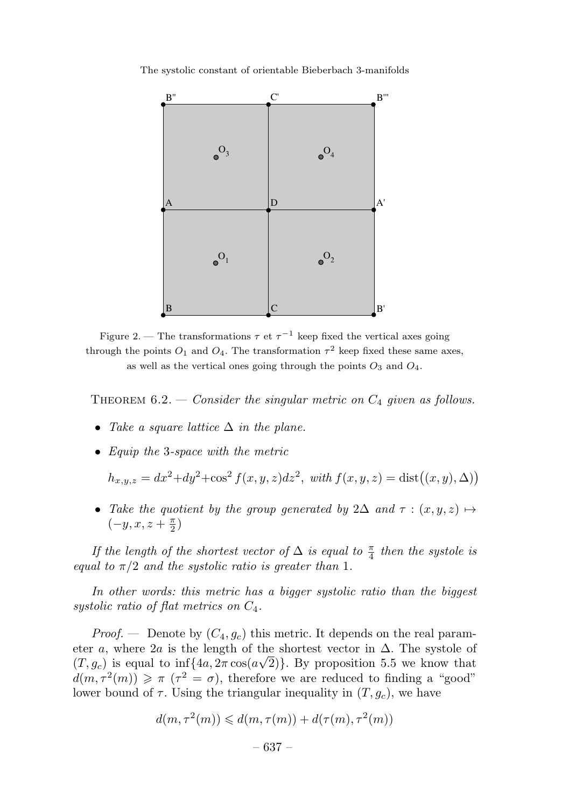

Figure 2. — The transformations  $\tau$  et  $\tau^{-1}$  keep fixed the vertical axes going through the points  $O_1$  and  $O_4$ . The transformation  $\tau^2$  keep fixed these same axes, as well as the vertical ones going through the points  $O_3$  and  $O_4$ .

THEOREM  $6.2.$  — Consider the singular metric on  $C_4$  given as follows.

- Take a square lattice  $\Delta$  in the plane.
- Equip the 3-space with the metric

 $h_{x,y,z} = dx^2 + dy^2 + \cos^2 f(x, y, z) dz^2$ , with  $f(x, y, z) = \text{dist}((x, y), \Delta)$ 

• Take the quotient by the group generated by  $2\Delta$  and  $\tau : (x, y, z) \mapsto$  $(-y, x, z + \frac{\pi}{2})$ 

If the length of the shortest vector of  $\Delta$  is equal to  $\frac{\pi}{4}$  then the systole is equal to  $\pi/2$  and the systolic ratio is greater than 1.

In other words: this metric has a bigger systolic ratio than the biggest systolic ratio of flat metrics on  $C_4$ .

*Proof.* — Denote by  $(C_4, g_c)$  this metric. It depends on the real parameter a, where 2a is the length of the shortest vector in  $\Delta$ . The systole of  $(T, g_c)$  is equal to inf{ $\{4a, 2\pi \cos(a\sqrt{2})\}$ . By proposition 5.5 we know that  $d(m, \tau^2(m)) \geq \pi (\tau^2 = \sigma)$ , therefore we are reduced to finding a "good" lower bound of  $\tau$ . Using the triangular inequality in  $(T, g_c)$ , we have

$$
d(m, \tau^{2}(m)) \leq d(m, \tau(m)) + d(\tau(m), \tau^{2}(m))
$$
  
- 637 -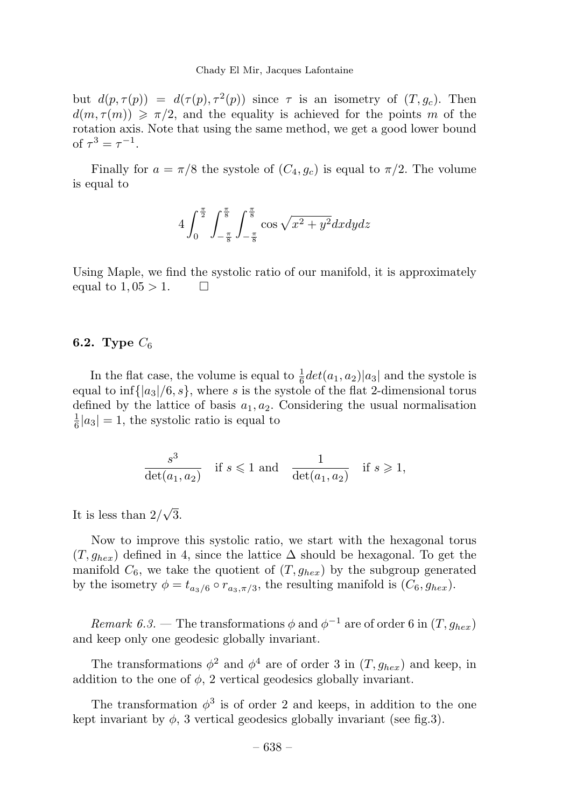but  $d(p, \tau(p)) = d(\tau(p), \tau^2(p))$  since  $\tau$  is an isometry of  $(T, g_c)$ . Then  $d(m, \tau(m)) \geq \pi/2$ , and the equality is achieved for the points m of the rotation axis. Note that using the same method, we get a good lower bound of  $\tau^3 = \tau^{-1}$ .

Finally for  $a = \pi/8$  the systole of  $(C_4, g_c)$  is equal to  $\pi/2$ . The volume is equal to

$$
4\int_0^{\frac{\pi}{2}} \int_{-\frac{\pi}{8}}^{\frac{\pi}{8}} \int_{-\frac{\pi}{8}}^{\frac{\pi}{8}} \cos \sqrt{x^2 + y^2} dx dy dz
$$

Using Maple, we find the systolic ratio of our manifold, it is approximately equal to  $1,05 > 1$ .  $\Box$ 

# 6.2. Type  $C_6$

In the flat case, the volume is equal to  $\frac{1}{6}det(a_1, a_2)|a_3|$  and the systole is equal to  $\inf\{|a_3|/6, s\}$ , where s is the systole of the flat 2-dimensional torus defined by the lattice of basis  $a_1, a_2$ . Considering the usual normalisation  $\frac{1}{6}|a_3|=1$ , the systolic ratio is equal to

$$
\frac{s^3}{\det(a_1, a_2)} \quad \text{if } s \leqslant 1 \text{ and } \frac{1}{\det(a_1, a_2)} \quad \text{if } s \geqslant 1,
$$

It is less than  $2/\sqrt{3}$ .

Now to improve this systolic ratio, we start with the hexagonal torus  $(T,g_{hex})$  defined in 4, since the lattice  $\Delta$  should be hexagonal. To get the manifold  $C_6$ , we take the quotient of  $(T, g_{hex})$  by the subgroup generated by the isometry  $\phi = t_{a_3/6} \circ r_{a_3, \pi/3}$ , the resulting manifold is  $(C_6, g_{hex})$ .

Remark 6.3. — The transformations  $\phi$  and  $\phi^{-1}$  are of order 6 in  $(T, q_{her})$ and keep only one geodesic globally invariant.

The transformations  $\phi^2$  and  $\phi^4$  are of order 3 in  $(T, g_{hex})$  and keep, in addition to the one of  $\phi$ , 2 vertical geodesics globally invariant.

The transformation  $\phi^3$  is of order 2 and keeps, in addition to the one kept invariant by  $\phi$ , 3 vertical geodesics globally invariant (see fig.3).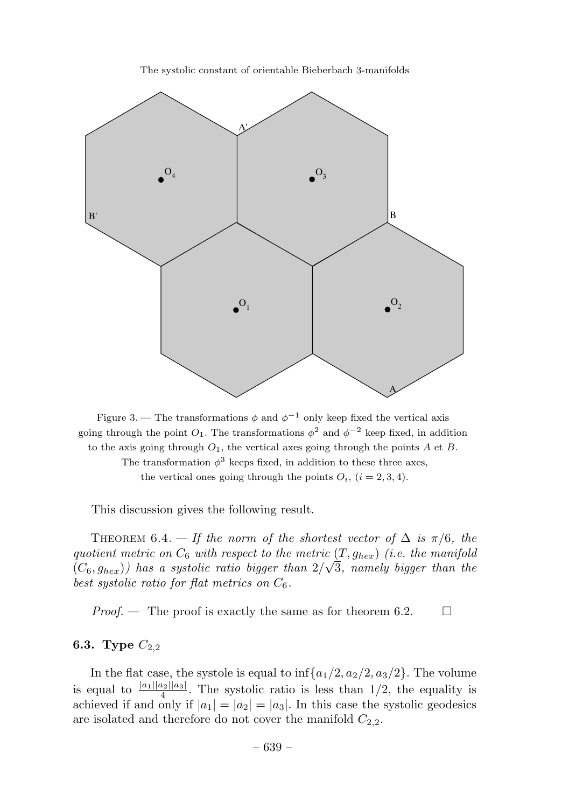

Figure 3. — The transformations  $\phi$  and  $\phi^{-1}$  only keep fixed the vertical axis going through the point  $O_1$ . The transformations  $\phi^2$  and  $\phi^{-2}$  keep fixed, in addition to the axis going through  $O_1$ , the vertical axes going through the points A et B. The transformation  $\phi^3$  keeps fixed, in addition to these three axes,

the vertical ones going through the points  $O_i$ ,  $(i = 2, 3, 4)$ .

This discussion gives the following result.

THEOREM 6.4. — If the norm of the shortest vector of  $\Delta$  is  $\pi/6$ , the quotient metric on  $C_6$  with respect to the metric  $(T, g_{hex})$  (i.e. the manifold  $(C_6, g_{hex})$ ) has a systolic ratio bigger than  $2/\sqrt{3}$ , namely bigger than the best systolic ratio for flat metrics on  $C_6$ .

*Proof.* — The proof is exactly the same as for theorem 6.2.  $\Box$ 

# 6.3. Type  $C_{2,2}$

In the flat case, the systole is equal to  $\inf\{a_1/2, a_2/2, a_3/2\}$ . The volume is equal to  $\frac{|a_1||a_2||a_3|}{4}$ . The systolic ratio is less than 1/2, the equality is achieved if and only if  $|a_1| = |a_2| = |a_3|$ . In this case the systolic geodesics are isolated and therefore do not cover the manifold  $C_{2,2}$ .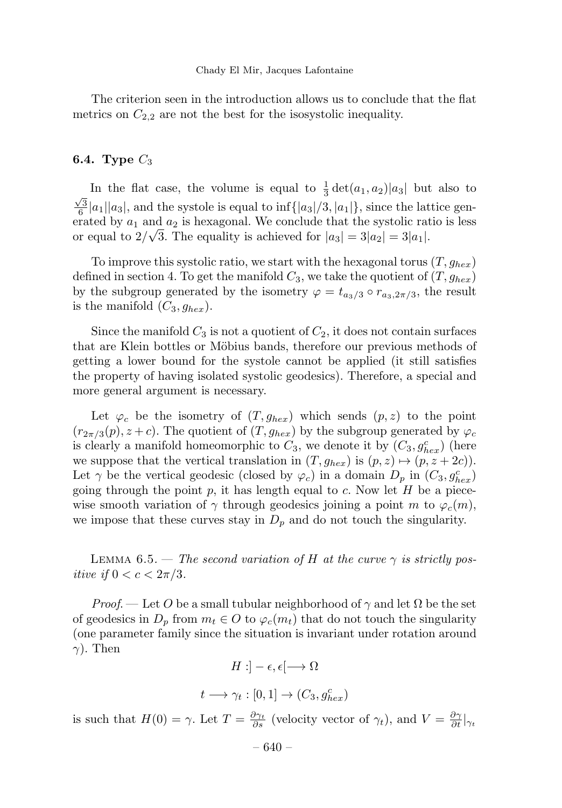The criterion seen in the introduction allows us to conclude that the flat metrics on  $C_{2,2}$  are not the best for the isosystolic inequality.

# 6.4. Type  $C_3$

In the flat case, the volume is equal to  $\frac{1}{3} \det(a_1, a_2) |a_3|$  but also to  $\frac{\sqrt{3}}{6}|a_1||a_3|$ , and the systole is equal to inf $\{|a_3|/3, |a_1|\}$ , since the lattice generated by  $a_1$  and  $a_2$  is hexagonal. We conclude that the systolic ratio is less or equal to  $2/\sqrt{3}$ . The equality is achieved for  $|a_3| = 3|a_2| = 3|a_1|$ .

To improve this systolic ratio, we start with the hexagonal torus  $(T, g_{hex})$ defined in section 4. To get the manifold  $C_3$ , we take the quotient of  $(T,g_{hex})$ by the subgroup generated by the isometry  $\varphi = t_{a_3/3} \circ r_{a_3,2\pi/3}$ , the result is the manifold  $(C_3, g_{hex})$ .

Since the manifold  $C_3$  is not a quotient of  $C_2$ , it does not contain surfaces that are Klein bottles or Möbius bands, therefore our previous methods of getting a lower bound for the systole cannot be applied (it still satisfies the property of having isolated systolic geodesics). Therefore, a special and more general argument is necessary.

Let  $\varphi_c$  be the isometry of  $(T, g_{hex})$  which sends  $(p, z)$  to the point  $(r_{2\pi/3}(p), z+c)$ . The quotient of  $(T, g_{hex})$  by the subgroup generated by  $\varphi_c$ is clearly a manifold homeomorphic to  $C_3$ , we denote it by  $(C_3, g_{hex}^c)$  (here we suppose that the vertical translation in  $(T, g_{hex})$  is  $(p, z) \mapsto (p, z + 2c)$ . Let  $\gamma$  be the vertical geodesic (closed by  $\varphi_c$ ) in a domain  $D_p$  in  $(C_3, g_{hex}^c)$ going through the point p, it has length equal to c. Now let  $H$  be a piecewise smooth variation of  $\gamma$  through geodesics joining a point m to  $\varphi_c(m)$ , we impose that these curves stay in  $D_p$  and do not touch the singularity.

LEMMA 6.5. — The second variation of H at the curve  $\gamma$  is strictly positive if  $0 < c < 2\pi/3$ .

*Proof.* — Let O be a small tubular neighborhood of  $\gamma$  and let  $\Omega$  be the set of geodesics in  $D_p$  from  $m_t \in O$  to  $\varphi_c(m_t)$  that do not touch the singularity (one parameter family since the situation is invariant under rotation around  $\gamma$ ). Then

$$
H: ]-\epsilon, \epsilon[ \longrightarrow \Omega
$$

$$
t \longrightarrow \gamma_t : [0,1] \longrightarrow (C_3, g_{hex}^c)
$$

is such that  $H(0) = \gamma$ . Let  $T = \frac{\partial \gamma_t}{\partial s}$  (velocity vector of  $\gamma_t$ ), and  $V = \frac{\partial \gamma_t}{\partial t}|_{\gamma_t}$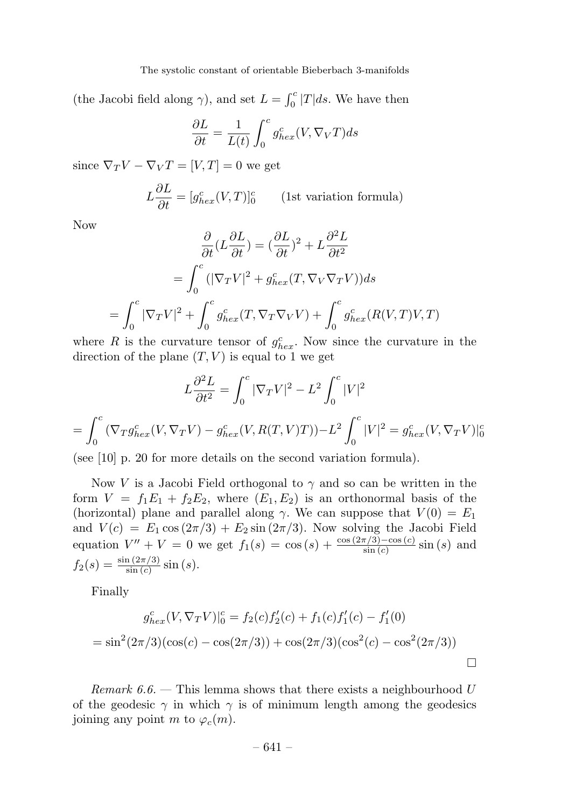(the Jacobi field along  $\gamma$ ), and set  $L = \int_0^c |T| ds$ . We have then

$$
\frac{\partial L}{\partial t} = \frac{1}{L(t)} \int_0^c g_{hex}^c(V, \nabla_V T) ds
$$

since  $\nabla_T V - \nabla_V T = [V, T] = 0$  we get

$$
L\frac{\partial L}{\partial t} = [g_{hex}^{c}(V,T)]_{0}^{c}
$$
 (1st variation formula)

Now

$$
\frac{\partial}{\partial t}(L\frac{\partial L}{\partial t}) = (\frac{\partial L}{\partial t})^2 + L\frac{\partial^2 L}{\partial t^2}
$$

$$
= \int_0^c (|\nabla_T V|^2 + g_{hex}^c(T, \nabla_V \nabla_T V))ds
$$

$$
= \int_0^c |\nabla_T V|^2 + \int_0^c g_{hex}^c(T, \nabla_T \nabla_V V) + \int_0^c g_{hex}^c(R(V, T)V, T)
$$

where R is the curvature tensor of  $g_{hex}^c$ . Now since the curvature in the direction of the plane  $(T, V)$  is equal to 1 we get

$$
L\frac{\partial^2 L}{\partial t^2} = \int_0^c |\nabla_T V|^2 - L^2 \int_0^c |V|^2
$$
  
= 
$$
\int_0^c (\nabla_T g_{hex}^c(V, \nabla_T V) - g_{hex}^c(V, R(T, V)T)) - L^2 \int_0^c |V|^2 = g_{hex}^c(V, \nabla_T V)|_0^c
$$

(see [10] p. 20 for more details on the second variation formula).

Now V is a Jacobi Field orthogonal to  $\gamma$  and so can be written in the form  $V = f_1E_1 + f_2E_2$ , where  $(E_1, E_2)$  is an orthonormal basis of the (horizontal) plane and parallel along  $\gamma$ . We can suppose that  $V(0) = E_1$ and  $V(c) = E_1 \cos(2\pi/3) + E_2 \sin(2\pi/3)$ . Now solving the Jacobi Field equation  $V'' + V = 0$  we get  $f_1(s) = \cos(s) + \frac{\cos(2\pi/3) - \cos(c)}{\sin(c)} \sin(s)$  and  $f_2(s) = \frac{\sin(2\pi/3)}{\sin(c)} \sin(s).$ 

Finally

$$
g_{hex}^c(V, \nabla_T V)|_0^c = f_2(c)f_2'(c) + f_1(c)f_1'(c) - f_1'(0)
$$
  
=  $\sin^2(2\pi/3)(\cos(c) - \cos(2\pi/3)) + \cos(2\pi/3)(\cos^2(c) - \cos^2(2\pi/3))$ 

Remark  $6.6$ . — This lemma shows that there exists a neighbourhood U of the geodesic  $\gamma$  in which  $\gamma$  is of minimum length among the geodesics joining any point m to  $\varphi_c(m)$ .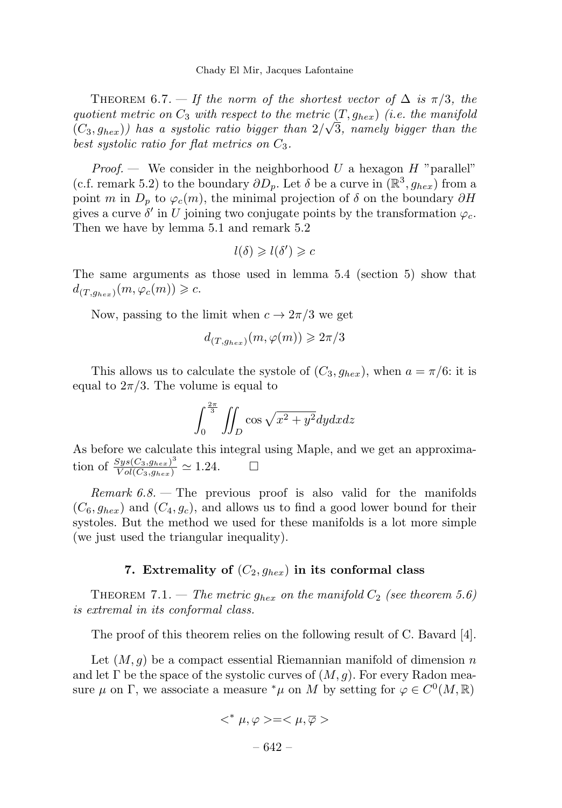THEOREM 6.7. — If the norm of the shortest vector of  $\Delta$  is  $\pi/3$ , the quotient metric on  $C_3$  with respect to the metric  $(T, g_{hex})$  (i.e. the manifold  $(C_3, g_{hex})$ ) has a systolic ratio bigger than  $2/\sqrt{3}$ , namely bigger than the best systolic ratio for flat metrics on  $C_3$ .

*Proof.* — We consider in the neighborhood U a hexagon  $H$  "parallel" (c.f. remark 5.2) to the boundary  $\partial D_p$ . Let  $\delta$  be a curve in  $(\mathbb{R}^3, g_{hex})$  from a point m in  $D_p$  to  $\varphi_c(m)$ , the minimal projection of  $\delta$  on the boundary  $\partial H$ gives a curve  $\delta'$  in U joining two conjugate points by the transformation  $\varphi_c$ . Then we have by lemma 5.1 and remark 5.2

$$
l(\delta) \geqslant l(\delta') \geqslant c
$$

The same arguments as those used in lemma 5.4 (section 5) show that  $d_{(T,g_{hex})}(m,\varphi_c(m)) \geqslant c.$ 

Now, passing to the limit when  $c \to 2\pi/3$  we get

$$
d_{(T,g_{hex})}(m,\varphi(m)) \geqslant 2\pi/3
$$

This allows us to calculate the systole of  $(C_3, g_{hex})$ , when  $a = \pi/6$ : it is equal to  $2\pi/3$ . The volume is equal to

$$
\int_0^{\frac{2\pi}{3}} \iint_D \cos\sqrt{x^2 + y^2} dy dx dz
$$

As before we calculate this integral using Maple, and we get an approximation of  $\frac{Sys(C_3,g_{hex})^3}{Vol(C_3,g_{hex})} \simeq 1.24.$ 

Remark  $6.8$ . – The previous proof is also valid for the manifolds  $(C_6, g_{hex})$  and  $(C_4, g_c)$ , and allows us to find a good lower bound for their systoles. But the method we used for these manifolds is a lot more simple (we just used the triangular inequality).

#### 7. Extremality of  $(C_2, g_{hex})$  in its conformal class

THEOREM 7.1. — The metric  $g_{hex}$  on the manifold  $C_2$  (see theorem 5.6) is extremal in its conformal class.

The proof of this theorem relies on the following result of C. Bavard [4].

Let  $(M, g)$  be a compact essential Riemannian manifold of dimension n and let Γ be the space of the systolic curves of  $(M, q)$ . For every Radon measure  $\mu$  on  $\Gamma$ , we associate a measure  $^*\mu$  on M by setting for  $\varphi \in C^0(M, \mathbb{R})$ 

$$
<^* \mu, \varphi > = <\mu, \overline{\varphi}>
$$

– 642 –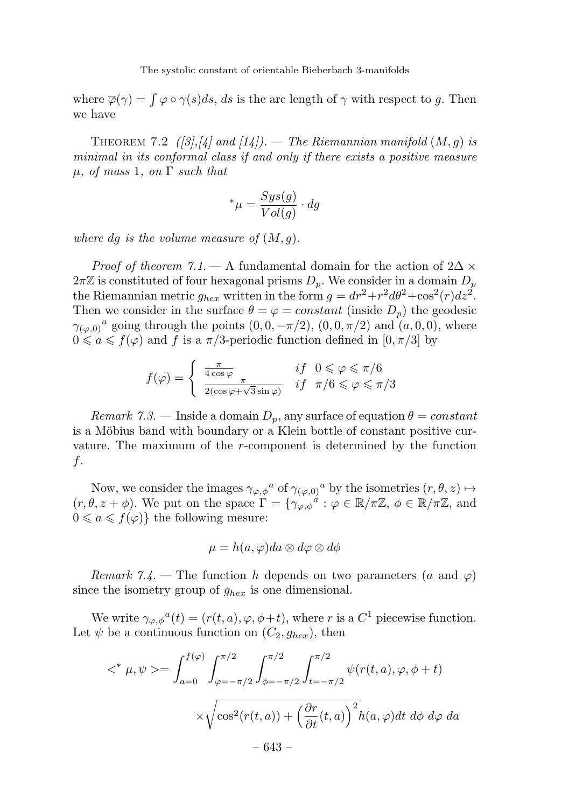where  $\overline{\varphi}(\gamma) = \int \varphi \circ \gamma(s) ds$ , ds is the arc length of  $\gamma$  with respect to g. Then we have

THEOREM 7.2  $\left(\frac{3}{4}, \frac{1}{4}\right)$  and  $\left(\frac{1}{4}\right)$ . — The Riemannian manifold  $(M, g)$  is minimal in its conformal class if and only if there exists a positive measure  $\mu$ , of mass 1, on  $\Gamma$  such that

$$
^*\mu = \frac{Sys(g)}{Vol(g)} \cdot dg
$$

where dg is the volume measure of  $(M, g)$ .

*Proof of theorem 7.1.* — A fundamental domain for the action of  $2\Delta \times$  $2\pi\mathbb{Z}$  is constituted of four hexagonal prisms  $D_p$ . We consider in a domain  $D_p$ the Riemannian metric  $g_{hex}$  written in the form  $g = dr^2 + r^2 d\theta^2 + \cos^2(r) dz^2$ . Then we consider in the surface  $\theta = \varphi = constant$  (inside  $D_p$ ) the geodesic  $\gamma_{(\varphi,0)}^a$  going through the points  $(0,0,-\pi/2)$ ,  $(0,0,\pi/2)$  and  $(a,0,0)$ , where  $0 \leq a \leq f(\varphi)$  and f is a  $\pi/3$ -periodic function defined in  $[0, \pi/3]$  by

$$
f(\varphi) = \begin{cases} \frac{\pi}{4\cos\varphi} & if \quad 0 \leq \varphi \leq \pi/6\\ \frac{\pi}{2(\cos\varphi + \sqrt{3}\sin\varphi)} & if \quad \pi/6 \leq \varphi \leq \pi/3 \end{cases}
$$

Remark 7.3. — Inside a domain  $D_p$ , any surface of equation  $\theta = constant$ is a Möbius band with boundary or a Klein bottle of constant positive curvature. The maximum of the r-component is determined by the function f.

Now, we consider the images  $\gamma_{\varphi,\phi}{}^a$  of  $\gamma_{(\varphi,0)}{}^a$  by the isometries  $(r, \theta, z) \mapsto$  $(r, \theta, z + \phi)$ . We put on the space  $\Gamma = \{\gamma_{\varphi, \phi}^{\phi} : \varphi \in \mathbb{R}/\pi\mathbb{Z}, \phi \in \mathbb{R}/\pi\mathbb{Z}, \text{ and}$  $0 \leq a \leq f(\varphi)$  the following mesure:

$$
\mu = h(a, \varphi) da \otimes d\varphi \otimes d\phi
$$

Remark 7.4. – The function h depends on two parameters (a and  $\varphi$ ) since the isometry group of  $g_{hex}$  is one dimensional.

We write  $\gamma_{\varphi,\phi}{}^a(t)=(r(t,a), \varphi, \phi+t)$ , where r is a  $C^1$  piecewise function. Let  $\psi$  be a continuous function on  $(C_2, g_{hex})$ , then

$$
\langle \alpha^* \mu, \psi \rangle = \int_{a=0}^{f(\varphi)} \int_{\varphi = -\pi/2}^{\pi/2} \int_{\phi = -\pi/2}^{\pi/2} \int_{t=-\pi/2}^{\pi/2} \psi(r(t, a), \varphi, \phi + t)
$$

$$
\times \sqrt{\cos^2(r(t, a)) + \left(\frac{\partial r}{\partial t}(t, a)\right)^2} h(a, \varphi) dt \, d\phi \, d\varphi \, da
$$

$$
= 643 - 643 - 649
$$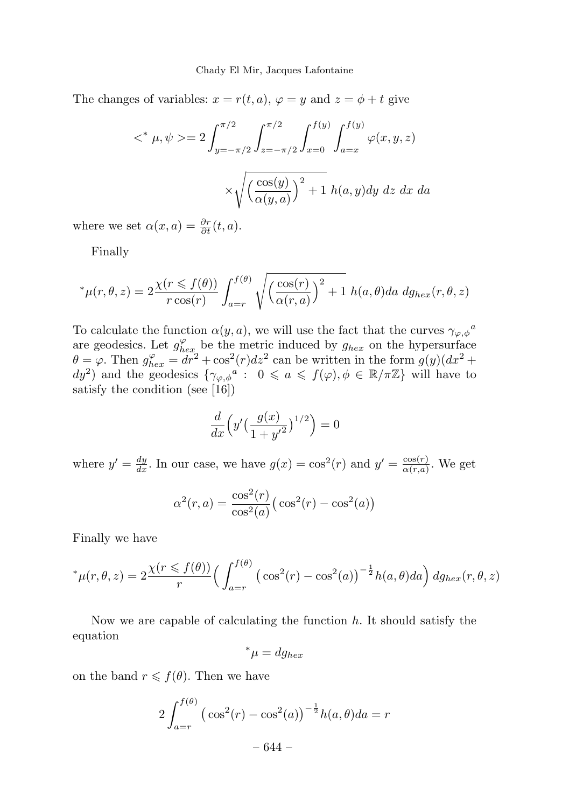The changes of variables:  $x = r(t, a)$ ,  $\varphi = y$  and  $z = \phi + t$  give

$$
\langle \xi^* | \mu, \psi \rangle = 2 \int_{y=-\pi/2}^{\pi/2} \int_{z=-\pi/2}^{\pi/2} \int_{x=0}^{f(y)} \int_{a=x}^{f(y)} \varphi(x, y, z)
$$

$$
\times \sqrt{\left(\frac{\cos(y)}{\alpha(y, a)}\right)^2 + 1} h(a, y) dy \, dz \, dx \, da
$$

where we set  $\alpha(x,a) = \frac{\partial r}{\partial t}(t,a)$ .

Finally

$$
^*\mu(r,\theta,z) = 2\frac{\chi(r \leq f(\theta))}{r\cos(r)} \int_{a=r}^{f(\theta)} \sqrt{\left(\frac{\cos(r)}{\alpha(r,a)}\right)^2 + 1} \ h(a,\theta) da \ dg_{hex}(r,\theta,z)
$$

To calculate the function  $\alpha(y, a)$ , we will use the fact that the curves  $\gamma_{\varphi, \phi}{}^a$ are geodesics. Let  $g_{hex}^{\varphi}$  be the metric induced by  $g_{hex}$  on the hypersurface  $\theta = \varphi$ . Then  $g_{hex}^{\varphi} = dr^2 + \cos^2(r)dz^2$  can be written in the form  $g(y)(dx^2 +$  $dy^2$ ) and the geodesics  $\{\gamma_{\varphi,\phi}^a: 0 \leq a \leq f(\varphi), \phi \in \mathbb{R}/\pi\mathbb{Z}\}\$  will have to satisfy the condition (see [16])

$$
\frac{d}{dx}\left(y'\left(\frac{g(x)}{1+y'^2}\right)^{1/2}\right) = 0
$$

where  $y' = \frac{dy}{dx}$ . In our case, we have  $g(x) = \cos^2(r)$  and  $y' = \frac{\cos(r)}{\alpha(r,a)}$ . We get

$$
\alpha^{2}(r,a) = \frac{\cos^{2}(r)}{\cos^{2}(a)} \left( \cos^{2}(r) - \cos^{2}(a) \right)
$$

Finally we have

$$
^*\mu(r,\theta,z) = 2\frac{\chi(r \leq f(\theta))}{r} \Big(\int_{a=r}^{f(\theta)} \big(\cos^2(r) - \cos^2(a)\big)^{-\frac{1}{2}} h(a,\theta) da\Big) dg_{hex}(r,\theta,z)
$$

Now we are capable of calculating the function  $h$ . It should satisfy the equation

$$
^*\mu = dg_{hex}
$$

on the band  $r \leq f(\theta)$ . Then we have

$$
2\int_{a=r}^{f(\theta)} (\cos^2(r) - \cos^2(a))^{-\frac{1}{2}}h(a,\theta)da = r
$$
  
- 644 -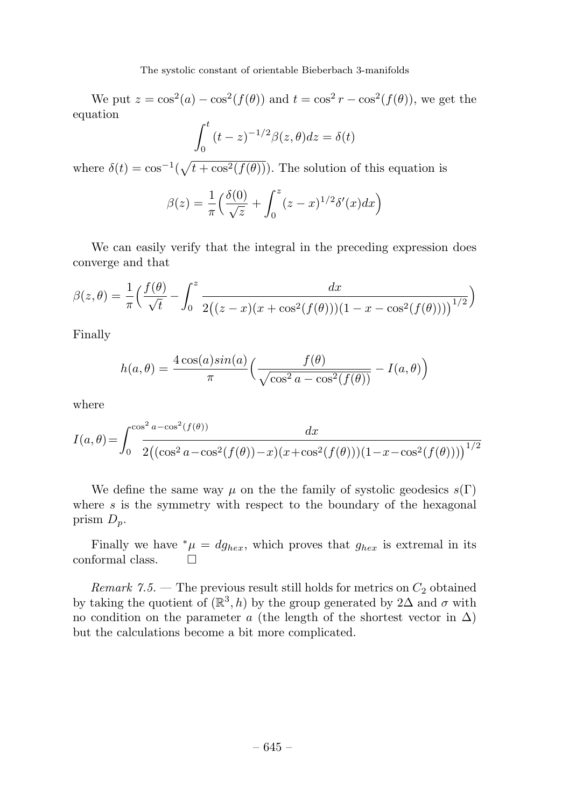We put  $z = \cos^2(a) - \cos^2(f(\theta))$  and  $t = \cos^2 r - \cos^2(f(\theta))$ , we get the equation

$$
\int_0^t (t-z)^{-1/2} \beta(z,\theta) dz = \delta(t)
$$

where  $\delta(t) = \cos^{-1}(\sqrt{t + \cos^2(f(\theta))})$ . The solution of this equation is

$$
\beta(z) = \frac{1}{\pi} \left( \frac{\delta(0)}{\sqrt{z}} + \int_0^z (z - x)^{1/2} \delta'(x) dx \right)
$$

We can easily verify that the integral in the preceding expression does converge and that

$$
\beta(z,\theta) = \frac{1}{\pi} \Big( \frac{f(\theta)}{\sqrt{t}} - \int_0^z \frac{dx}{2((z-x)(x+\cos^2(f(\theta)))(1-x-\cos^2(f(\theta))))^{1/2}} \Big)
$$

Finally

$$
h(a, \theta) = \frac{4 \cos(a) \sin(a)}{\pi} \left( \frac{f(\theta)}{\sqrt{\cos^2 a - \cos^2(f(\theta))}} - I(a, \theta) \right)
$$

where

$$
I(a,\theta) = \int_0^{\cos^2 a - \cos^2(f(\theta))} \frac{dx}{2((\cos^2 a - \cos^2(f(\theta)) - x)(x + \cos^2(f(\theta)))(1 - x - \cos^2(f(\theta))))}^{1/2}
$$

We define the same way  $\mu$  on the the family of systolic geodesics  $s(\Gamma)$ where  $s$  is the symmetry with respect to the boundary of the hexagonal prism  $D_p$ .

Finally we have  $^*\mu = dg_{hex}$ , which proves that  $g_{hex}$  is extremal in its formal class. conformal class.

Remark 7.5. – The previous result still holds for metrics on  $C_2$  obtained by taking the quotient of  $(\mathbb{R}^3, h)$  by the group generated by 2 $\Delta$  and  $\sigma$  with no condition on the parameter a (the length of the shortest vector in  $\Delta$ ) but the calculations become a bit more complicated.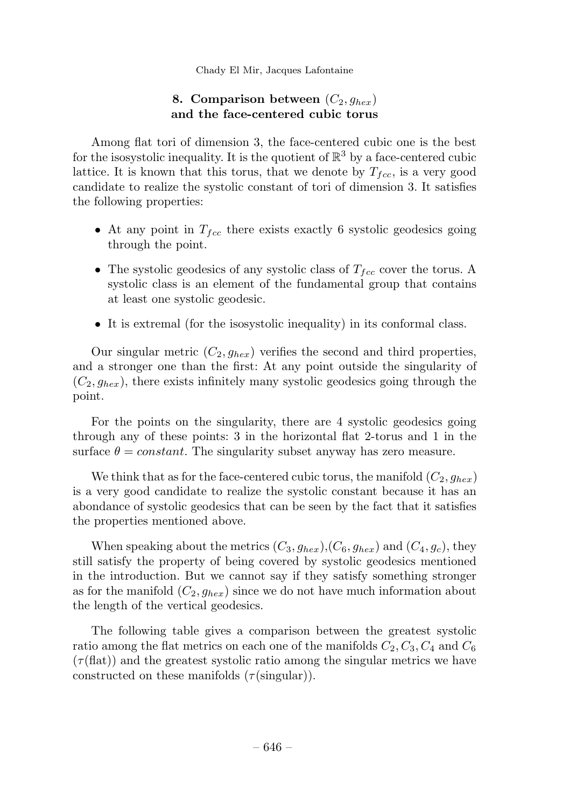# 8. Comparison between  $(C_2, g_{hex})$ and the face-centered cubic torus

Among flat tori of dimension 3, the face-centered cubic one is the best for the isosystolic inequality. It is the quotient of  $\mathbb{R}^3$  by a face-centered cubic lattice. It is known that this torus, that we denote by  $T_{fcc}$ , is a very good candidate to realize the systolic constant of tori of dimension 3. It satisfies the following properties:

- At any point in  $T_{fcc}$  there exists exactly 6 systolic geodesics going through the point.
- The systolic geodesics of any systolic class of  $T_{fcc}$  cover the torus. A systolic class is an element of the fundamental group that contains at least one systolic geodesic.
- It is extremal (for the isosystolic inequality) in its conformal class.

Our singular metric  $(C_2, g_{hex})$  verifies the second and third properties, and a stronger one than the first: At any point outside the singularity of  $(C_2, g_{hex})$ , there exists infinitely many systolic geodesics going through the point.

For the points on the singularity, there are 4 systolic geodesics going through any of these points: 3 in the horizontal flat 2-torus and 1 in the surface  $\theta = constant$ . The singularity subset anyway has zero measure.

We think that as for the face-centered cubic torus, the manifold  $(C_2, g_{hex})$ is a very good candidate to realize the systolic constant because it has an abondance of systolic geodesics that can be seen by the fact that it satisfies the properties mentioned above.

When speaking about the metrics  $(C_3, g_{hex})$ ,  $(C_6, g_{hex})$  and  $(C_4, g_c)$ , they still satisfy the property of being covered by systolic geodesics mentioned in the introduction. But we cannot say if they satisfy something stronger as for the manifold  $(C_2, g_{hex})$  since we do not have much information about the length of the vertical geodesics.

The following table gives a comparison between the greatest systolic ratio among the flat metrics on each one of the manifolds  $C_2, C_3, C_4$  and  $C_6$  $(\tau(\text{flat}))$  and the greatest systolic ratio among the singular metrics we have constructed on these manifolds  $(\tau(\text{singular}))$ .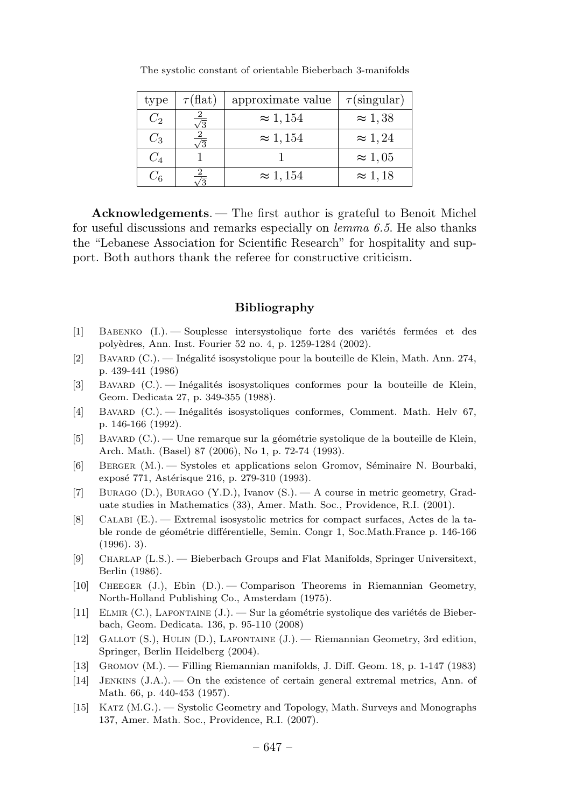| type    | $\tau(\text{flat})$ | approximate value | $\tau$ (singular) |
|---------|---------------------|-------------------|-------------------|
| $C_2$   |                     | $\approx 1,154$   | $\approx 1.38$    |
| $C_3$   |                     | $\approx 1,154$   | $\approx 1,24$    |
| $C_{4}$ |                     |                   | $\approx 1.05$    |
| $C_{6}$ |                     | $\approx 1,154$   | $\approx 1,18$    |

The systolic constant of orientable Bieberbach 3-manifolds

Acknowledgements. — The first author is grateful to Benoit Michel for useful discussions and remarks especially on  $lemma 6.5$ . He also thanks the "Lebanese Association for Scientific Research" for hospitality and support. Both authors thank the referee for constructive criticism.

# Bibliography

- [1] BABENKO (I.). Souplesse intersystolique forte des variétés fermées et des poly`edres, Ann. Inst. Fourier 52 no. 4, p. 1259-1284 (2002).
- [2] Bavard (C.). Inégalité isosystolique pour la bouteille de Klein, Math. Ann. 274, p. 439-441 (1986)
- [3] BAVARD (C.). Inégalités isosystoliques conformes pour la bouteille de Klein, Geom. Dedicata 27, p. 349-355 (1988).
- [4] BAVARD (C.). Inégalités isosystoliques conformes, Comment. Math. Helv 67, p. 146-166 (1992).
- [5] Bavard (C.). Une remarque sur la géométrie systolique de la bouteille de Klein, Arch. Math. (Basel) 87 (2006), No 1, p. 72-74 (1993).
- [6] BERGER (M.). Systoles et applications selon Gromov, Séminaire N. Bourbaki, exposé 771, Astérisque 216, p. 279-310 (1993).
- [7] Burago (D.), Burago (Y.D.), Ivanov (S.). —A course in metric geometry, Graduate studies in Mathematics (33), Amer. Math. Soc., Providence, R.I. (2001).
- [8] Calabi (E.). —Extremal isosystolic metrics for compact surfaces, Actes de la table ronde de géométrie différentielle, Semin. Congr 1, Soc.Math.France p. 146-166  $(1996)$ . 3).
- [9] Charlap (L.S.). —Bieberbach Groups and Flat Manifolds, Springer Universitext, Berlin (1986).
- [10] Cheeger (J.), Ebin (D.). —Comparison Theorems in Riemannian Geometry, North-Holland Publishing Co., Amsterdam (1975).
- [11] ELMIR  $(C.)$ , LAFONTAINE  $(J.)$ . Sur la géométrie systolique des variétés de Bieberbach, Geom. Dedicata. 136, p. 95-110 (2008)
- [12] Gallot (S.), Hulin (D.), Lafontaine (J.). —Riemannian Geometry, 3rd edition, Springer, Berlin Heidelberg (2004).
- [13] Gromov (M.). —Filling Riemannian manifolds, J. Diff. Geom. 18, p. 1-147 (1983)
- [14] Jenkins (J.A.). —On the existence of certain general extremal metrics, Ann. of Math. 66, p. 440-453 (1957).
- [15] KATZ (M.G.). Systolic Geometry and Topology, Math. Surveys and Monographs 137, Amer. Math. Soc., Providence, R.I. (2007).